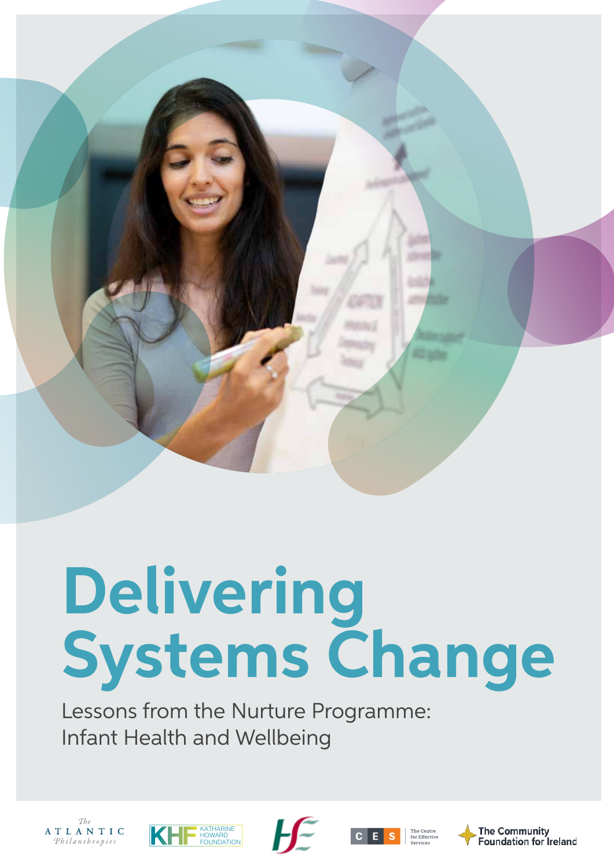

# **Delivering Systems Change**

Lessons from the Nurture Programme: Infant Health and Wellbeing









for Effective



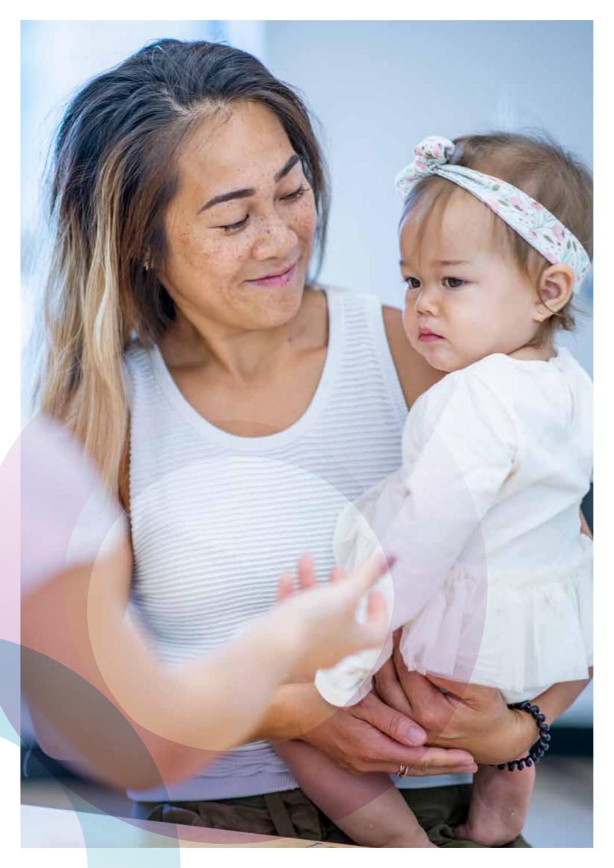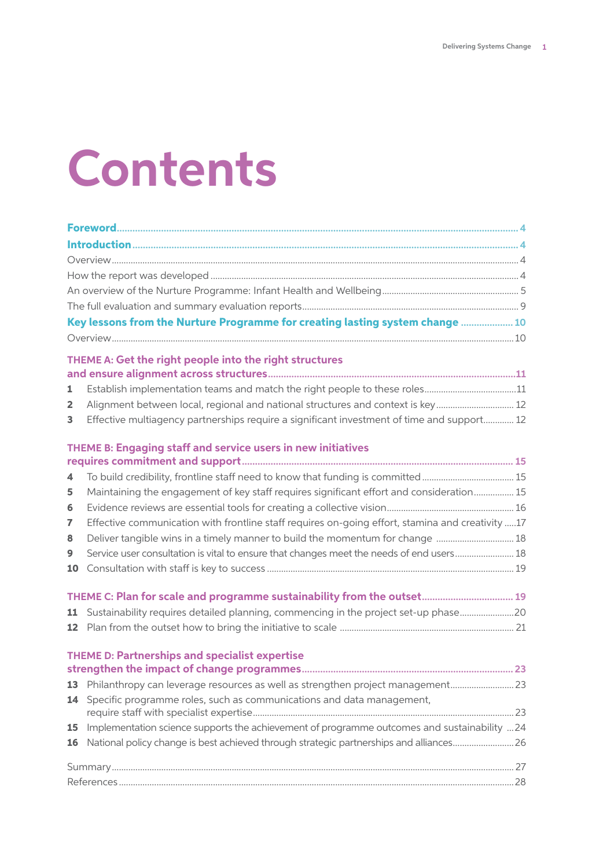# **Contents**

|                         | Key lessons from the Nurture Programme for creating lasting system change  10                    |  |  |  |
|-------------------------|--------------------------------------------------------------------------------------------------|--|--|--|
|                         |                                                                                                  |  |  |  |
|                         |                                                                                                  |  |  |  |
|                         | THEME A: Get the right people into the right structures                                          |  |  |  |
| 1                       | Establish implementation teams and match the right people to these roles11                       |  |  |  |
|                         | Alignment between local, regional and national structures and context is key 12                  |  |  |  |
| 2<br>3                  |                                                                                                  |  |  |  |
|                         | Effective multiagency partnerships require a significant investment of time and support 12       |  |  |  |
|                         | THEME B: Engaging staff and service users in new initiatives                                     |  |  |  |
|                         |                                                                                                  |  |  |  |
| $\overline{\mathbf{4}}$ | To build credibility, frontline staff need to know that funding is committed 15                  |  |  |  |
| 5                       | Maintaining the engagement of key staff requires significant effort and consideration 15         |  |  |  |
| 6                       |                                                                                                  |  |  |  |
| 7                       | Effective communication with frontline staff requires on-going effort, stamina and creativity 17 |  |  |  |
| 8                       | Deliver tangible wins in a timely manner to build the momentum for change  18                    |  |  |  |
| 9                       | Service user consultation is vital to ensure that changes meet the needs of end users 18         |  |  |  |
| 10                      |                                                                                                  |  |  |  |
|                         |                                                                                                  |  |  |  |
|                         | THEME C: Plan for scale and programme sustainability from the outset 19                          |  |  |  |
| 11                      | Sustainability requires detailed planning, commencing in the project set-up phase20              |  |  |  |
| 12.                     |                                                                                                  |  |  |  |
|                         |                                                                                                  |  |  |  |
|                         | <b>THEME D: Partnerships and specialist expertise</b>                                            |  |  |  |
|                         |                                                                                                  |  |  |  |
|                         | 13 Philanthropy can leverage resources as well as strengthen project management 23               |  |  |  |
|                         | 14 Specific programme roles, such as communications and data management,                         |  |  |  |
| 15                      | Implementation science supports the achievement of programme outcomes and sustainability 24      |  |  |  |
| 16                      | National policy change is best achieved through strategic partnerships and alliances26           |  |  |  |
|                         |                                                                                                  |  |  |  |
|                         |                                                                                                  |  |  |  |
|                         |                                                                                                  |  |  |  |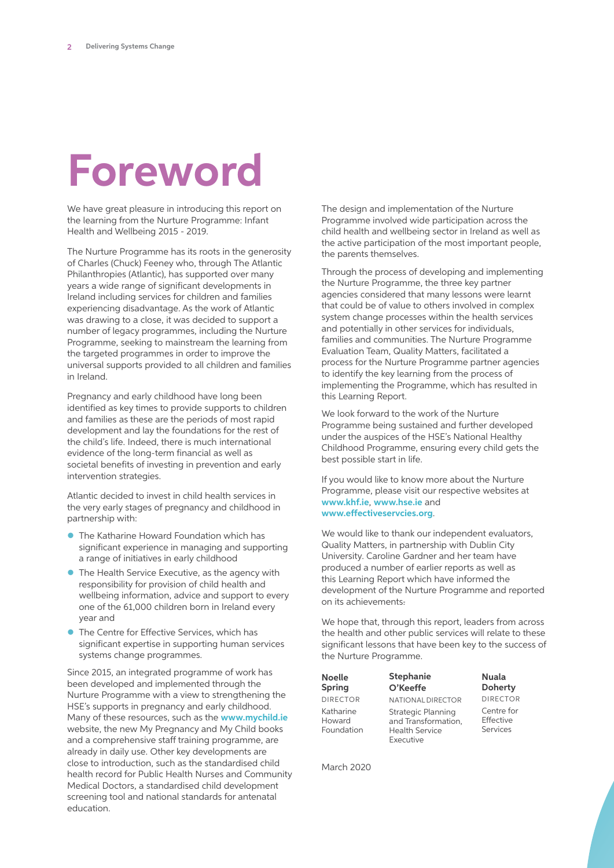# **Foreword**

We have great pleasure in introducing this report on the learning from the Nurture Programme: Infant Health and Wellbeing 2015 - 2019.

The Nurture Programme has its roots in the generosity of Charles (Chuck) Feeney who, through The Atlantic Philanthropies (Atlantic), has supported over many years a wide range of significant developments in Ireland including services for children and families experiencing disadvantage. As the work of Atlantic was drawing to a close, it was decided to support a number of legacy programmes, including the Nurture Programme, seeking to mainstream the learning from the targeted programmes in order to improve the universal supports provided to all children and families in Ireland.

Pregnancy and early childhood have long been identified as key times to provide supports to children and families as these are the periods of most rapid development and lay the foundations for the rest of the child's life. Indeed, there is much international evidence of the long-term financial as well as societal benefits of investing in prevention and early intervention strategies.

Atlantic decided to invest in child health services in the very early stages of pregnancy and childhood in partnership with:

- The Katharine Howard Foundation which has significant experience in managing and supporting a range of initiatives in early childhood
- The Health Service Executive, as the agency with responsibility for provision of child health and wellbeing information, advice and support to every one of the 61,000 children born in Ireland every year and
- The Centre for Effective Services, which has significant expertise in supporting human services systems change programmes.

Since 2015, an integrated programme of work has been developed and implemented through the Nurture Programme with a view to strengthening the HSE's supports in pregnancy and early childhood. Many of these resources, such as the **[www.mychild.ie](http://www.mychild.ie)** website, the new My Pregnancy and My Child books and a comprehensive staff training programme, are already in daily use. Other key developments are close to introduction, such as the standardised child health record for Public Health Nurses and Community Medical Doctors, a standardised child development screening tool and national standards for antenatal education.

The design and implementation of the Nurture Programme involved wide participation across the child health and wellbeing sector in Ireland as well as the active participation of the most important people, the parents themselves.

Through the process of developing and implementing the Nurture Programme, the three key partner agencies considered that many lessons were learnt that could be of value to others involved in complex system change processes within the health services and potentially in other services for individuals, families and communities. The Nurture Programme Evaluation Team, Quality Matters, facilitated a process for the Nurture Programme partner agencies to identify the key learning from the process of implementing the Programme, which has resulted in this Learning Report.

We look forward to the work of the Nurture Programme being sustained and further developed under the auspices of the HSE's National Healthy Childhood Programme, ensuring every child gets the best possible start in life.

If you would like to know more about the Nurture Programme, please visit our respective websites at **[www.khf.ie](http://www.khf.ie)**, **[www.hse.ie](http://www.hse.ie)** and **[www.effectiveservcies.org](http://www.effectiveservcies.org)**.

We would like to thank our independent evaluators, Quality Matters, in partnership with Dublin City University. Caroline Gardner and her team have produced a number of earlier reports as well as this Learning Report which have informed the development of the Nurture Programme and reported on its achievements.

We hope that, through this report, leaders from across the health and other public services will relate to these significant lessons that have been key to the success of the Nurture Programme.

| <b>Noelle</b><br><b>Spring</b>    | <b>Stephanie</b><br>O'Keeffe                                                    | <b>Nuala</b><br><b>Doherty</b>             |
|-----------------------------------|---------------------------------------------------------------------------------|--------------------------------------------|
| <b>DIRECTOR</b>                   | NATIONAL DIRECTOR                                                               | <b>DIRECTOR</b>                            |
| Katharine<br>Howard<br>Foundation | Strategic Planning<br>and Transformation,<br><b>Health Service</b><br>Executive | Centre for<br>Effective<br><b>Services</b> |

March 2020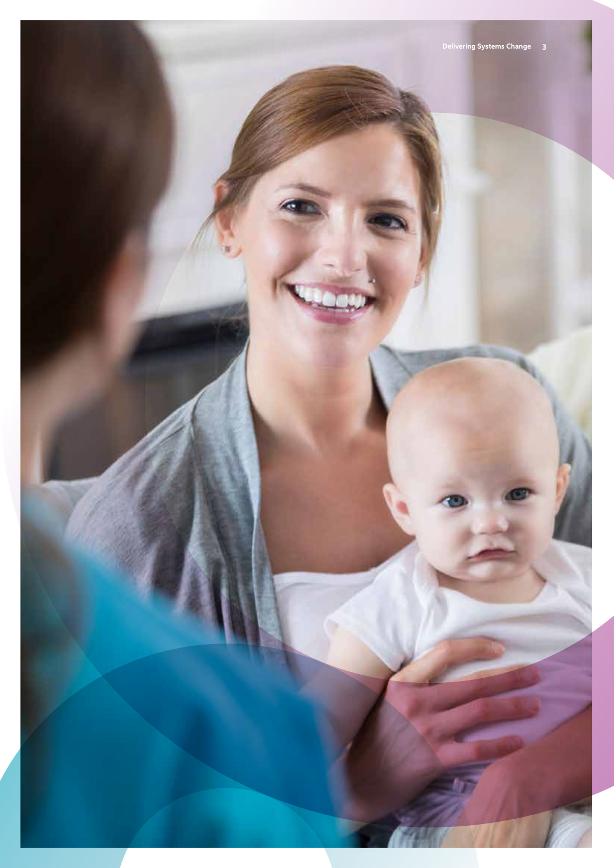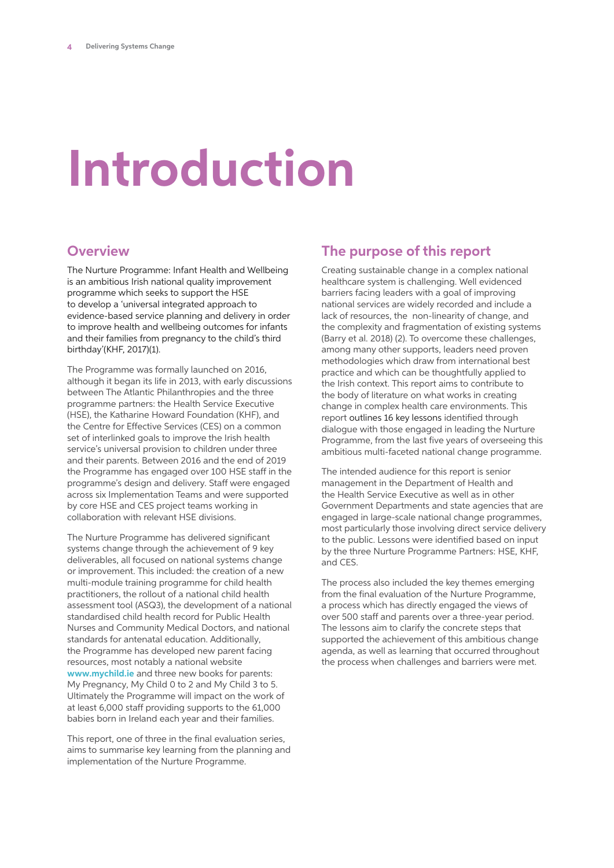# <span id="page-5-0"></span>**Introduction**

### **Overview**

The Nurture Programme: Infant Health and Wellbeing is an ambitious Irish national quality improvement programme which seeks to support the HSE to develop a 'universal integrated approach to evidence-based service planning and delivery in order to improve health and wellbeing outcomes for infants and their families from pregnancy to the child's third birthday'(KHF, 2017)(1).

The Programme was formally launched on 2016, although it began its life in 2013, with early discussions between The Atlantic Philanthropies and the three programme partners: the Health Service Executive (HSE), the Katharine Howard Foundation (KHF), and the Centre for Effective Services (CES) on a common set of interlinked goals to improve the Irish health service's universal provision to children under three and their parents. Between 2016 and the end of 2019 the Programme has engaged over 100 HSE staff in the programme's design and delivery. Staff were engaged across six Implementation Teams and were supported by core HSE and CES project teams working in collaboration with relevant HSE divisions.

The Nurture Programme has delivered significant systems change through the achievement of 9 key deliverables, all focused on national systems change or improvement. This included: the creation of a new multi-module training programme for child health practitioners, the rollout of a national child health assessment tool (ASQ3), the development of a national standardised child health record for Public Health Nurses and Community Medical Doctors, and national standards for antenatal education. Additionally, the Programme has developed new parent facing resources, most notably a national website **[www.mychild.ie](http://www.mychild.ie)** and three new books for parents: My Pregnancy, My Child 0 to 2 and My Child 3 to 5. Ultimately the Programme will impact on the work of at least 6,000 staff providing supports to the 61,000 babies born in Ireland each year and their families.

This report, one of three in the final evaluation series, aims to summarise key learning from the planning and implementation of the Nurture Programme.

### **The purpose of this report**

Creating sustainable change in a complex national healthcare system is challenging. Well evidenced barriers facing leaders with a goal of improving national services are widely recorded and include a lack of resources, the non-linearity of change, and the complexity and fragmentation of existing systems (Barry et al. 2018) (2). To overcome these challenges, among many other supports, leaders need proven methodologies which draw from international best practice and which can be thoughtfully applied to the Irish context. This report aims to contribute to the body of literature on what works in creating change in complex health care environments. This report outlines 16 key lessons identified through dialogue with those engaged in leading the Nurture Programme, from the last five years of overseeing this ambitious multi-faceted national change programme.

The intended audience for this report is senior management in the Department of Health and the Health Service Executive as well as in other Government Departments and state agencies that are engaged in large-scale national change programmes, most particularly those involving direct service delivery to the public. Lessons were identified based on input by the three Nurture Programme Partners: HSE, KHF, and CES.

The process also included the key themes emerging from the final evaluation of the Nurture Programme, a process which has directly engaged the views of over 500 staff and parents over a three-year period. The lessons aim to clarify the concrete steps that supported the achievement of this ambitious change agenda, as well as learning that occurred throughout the process when challenges and barriers were met.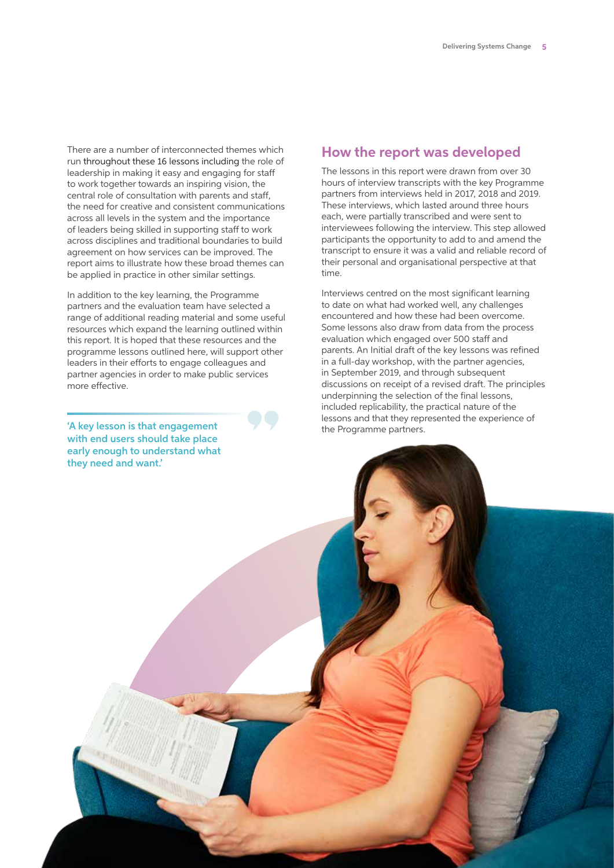There are a number of interconnected themes which run throughout these 16 lessons including the role of leadership in making it easy and engaging for staff to work together towards an inspiring vision, the central role of consultation with parents and staff, the need for creative and consistent communications across all levels in the system and the importance of leaders being skilled in supporting staff to work across disciplines and traditional boundaries to build agreement on how services can be improved. The report aims to illustrate how these broad themes can be applied in practice in other similar settings.

In addition to the key learning, the Programme partners and the evaluation team have selected a range of additional reading material and some useful resources which expand the learning outlined within this report. It is hoped that these resources and the programme lessons outlined here, will support other leaders in their efforts to engage colleagues and partner agencies in order to make public services more effective.

the Programme partners. 'A key lesson is that engagement with end users should take place early enough to understand what they need and want.'

### **How the report was developed**

The lessons in this report were drawn from over 30 hours of interview transcripts with the key Programme partners from interviews held in 2017, 2018 and 2019. These interviews, which lasted around three hours each, were partially transcribed and were sent to interviewees following the interview. This step allowed participants the opportunity to add to and amend the transcript to ensure it was a valid and reliable record of their personal and organisational perspective at that time.

Interviews centred on the most significant learning to date on what had worked well, any challenges encountered and how these had been overcome. Some lessons also draw from data from the process evaluation which engaged over 500 staff and parents. An Initial draft of the key lessons was refined in a full-day workshop, with the partner agencies, in September 2019, and through subsequent discussions on receipt of a revised draft. The principles underpinning the selection of the final lessons, included replicability, the practical nature of the lessons and that they represented the experience of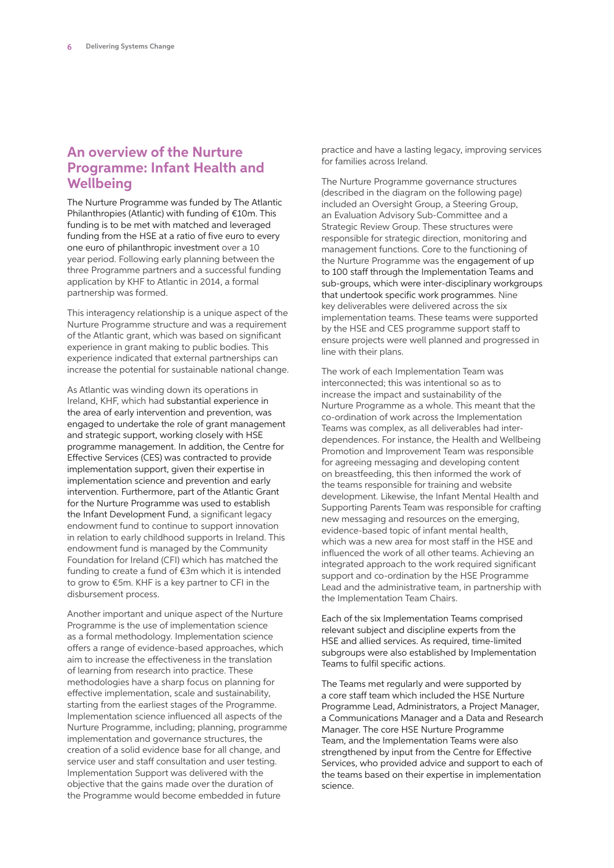### **An overview of the Nurture Programme: Infant Health and Wellbeing**

The Nurture Programme was funded by The Atlantic Philanthropies (Atlantic) with funding of €10m. This funding is to be met with matched and leveraged funding from the HSE at a ratio of five euro to every one euro of philanthropic investment over a 10 year period. Following early planning between the three Programme partners and a successful funding application by KHF to Atlantic in 2014, a formal partnership was formed.

This interagency relationship is a unique aspect of the Nurture Programme structure and was a requirement of the Atlantic grant, which was based on significant experience in grant making to public bodies. This experience indicated that external partnerships can increase the potential for sustainable national change.

As Atlantic was winding down its operations in Ireland, KHF, which had substantial experience in the area of early intervention and prevention, was engaged to undertake the role of grant management and strategic support, working closely with HSE programme management. In addition, the Centre for Effective Services (CES) was contracted to provide implementation support, given their expertise in implementation science and prevention and early intervention. Furthermore, part of the Atlantic Grant for the Nurture Programme was used to establish the Infant Development Fund, a significant legacy endowment fund to continue to support innovation in relation to early childhood supports in Ireland. This endowment fund is managed by the Community Foundation for Ireland (CFI) which has matched the funding to create a fund of €3m which it is intended to grow to €5m. KHF is a key partner to CFI in the disbursement process.

Another important and unique aspect of the Nurture Programme is the use of implementation science as a formal methodology. Implementation science offers a range of evidence-based approaches, which aim to increase the effectiveness in the translation of learning from research into practice. These methodologies have a sharp focus on planning for effective implementation, scale and sustainability, starting from the earliest stages of the Programme. Implementation science influenced all aspects of the Nurture Programme, including; planning, programme implementation and governance structures, the creation of a solid evidence base for all change, and service user and staff consultation and user testing. Implementation Support was delivered with the objective that the gains made over the duration of the Programme would become embedded in future

practice and have a lasting legacy, improving services for families across Ireland.

The Nurture Programme governance structures (described in the diagram on the following page) included an Oversight Group, a Steering Group, an Evaluation Advisory Sub-Committee and a Strategic Review Group. These structures were responsible for strategic direction, monitoring and management functions. Core to the functioning of the Nurture Programme was the engagement of up to 100 staff through the Implementation Teams and sub-groups, which were inter-disciplinary workgroups that undertook specific work programmes. Nine key deliverables were delivered across the six implementation teams. These teams were supported by the HSE and CES programme support staff to ensure projects were well planned and progressed in line with their plans.

The work of each Implementation Team was interconnected; this was intentional so as to increase the impact and sustainability of the Nurture Programme as a whole. This meant that the co-ordination of work across the Implementation Teams was complex, as all deliverables had interdependences. For instance, the Health and Wellbeing Promotion and Improvement Team was responsible for agreeing messaging and developing content on breastfeeding, this then informed the work of the teams responsible for training and website development. Likewise, the Infant Mental Health and Supporting Parents Team was responsible for crafting new messaging and resources on the emerging, evidence-based topic of infant mental health. which was a new area for most staff in the HSE and influenced the work of all other teams. Achieving an integrated approach to the work required significant support and co-ordination by the HSE Programme Lead and the administrative team, in partnership with the Implementation Team Chairs.

Each of the six Implementation Teams comprised relevant subject and discipline experts from the HSE and allied services. As required, time-limited subgroups were also established by Implementation Teams to fulfil specific actions.

The Teams met regularly and were supported by a core staff team which included the HSE Nurture Programme Lead, Administrators, a Project Manager, a Communications Manager and a Data and Research Manager. The core HSE Nurture Programme Team, and the Implementation Teams were also strengthened by input from the Centre for Effective Services, who provided advice and support to each of the teams based on their expertise in implementation science.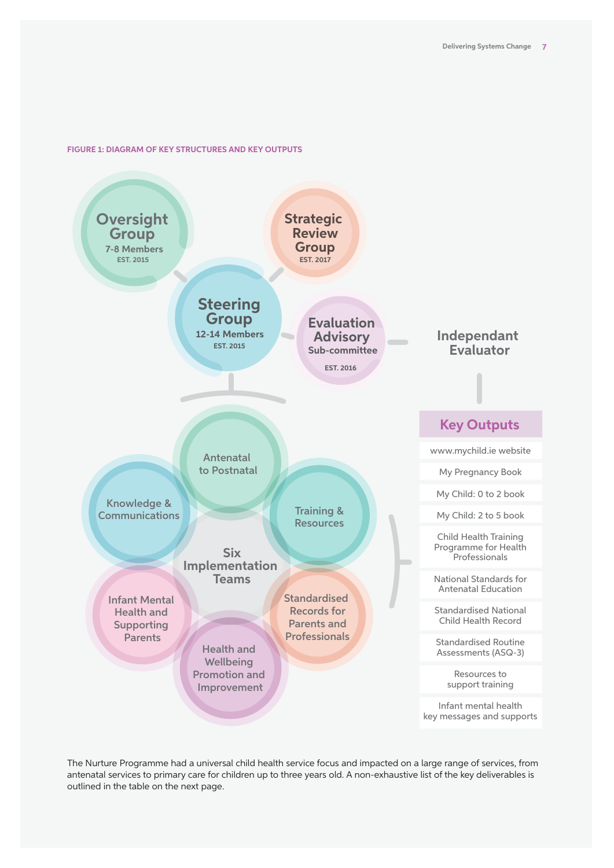#### **FIGURE 1: DIAGRAM OF KEY STRUCTURES AND KEY OUTPUTS**



The Nurture Programme had a universal child health service focus and impacted on a large range of services, from antenatal services to primary care for children up to three years old. A non-exhaustive list of the key deliverables is outlined in the table on the next page.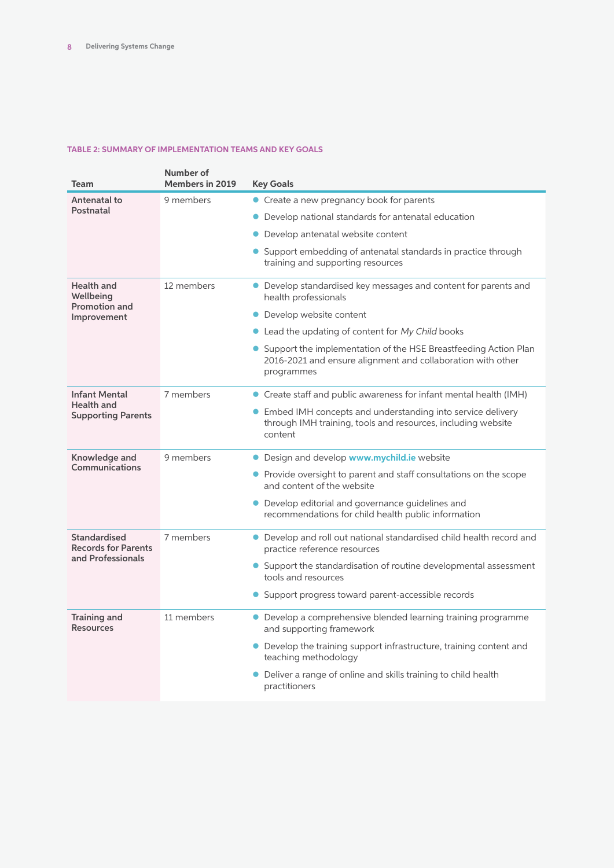#### **TABLE 2: SUMMARY OF IMPLEMENTATION TEAMS AND KEY GOALS**

| Team                                                                   | Number of<br><b>Members in 2019</b> | <b>Key Goals</b>                                                                                                                               |
|------------------------------------------------------------------------|-------------------------------------|------------------------------------------------------------------------------------------------------------------------------------------------|
| Antenatal to                                                           | 9 members                           | • Create a new pregnancy book for parents                                                                                                      |
| Postnatal                                                              |                                     | Develop national standards for antenatal education<br>$\bullet$                                                                                |
|                                                                        |                                     | • Develop antenatal website content                                                                                                            |
|                                                                        |                                     | Support embedding of antenatal standards in practice through<br>training and supporting resources                                              |
| <b>Health and</b><br>Wellbeing                                         | 12 members                          | • Develop standardised key messages and content for parents and<br>health professionals                                                        |
| <b>Promotion and</b><br>Improvement                                    |                                     | • Develop website content                                                                                                                      |
|                                                                        |                                     | • Lead the updating of content for My Child books                                                                                              |
|                                                                        |                                     | • Support the implementation of the HSE Breastfeeding Action Plan<br>2016-2021 and ensure alignment and collaboration with other<br>programmes |
| <b>Infant Mental</b>                                                   | 7 members                           | • Create staff and public awareness for infant mental health (IMH)                                                                             |
| Health and<br><b>Supporting Parents</b>                                |                                     | • Embed IMH concepts and understanding into service delivery<br>through IMH training, tools and resources, including website<br>content        |
| Knowledge and                                                          | 9 members                           | • Design and develop www.mychild.ie website                                                                                                    |
| Communications                                                         |                                     | • Provide oversight to parent and staff consultations on the scope<br>and content of the website                                               |
|                                                                        |                                     | • Develop editorial and governance guidelines and<br>recommendations for child health public information                                       |
| <b>Standardised</b><br><b>Records for Parents</b><br>and Professionals | 7 members                           | • Develop and roll out national standardised child health record and<br>practice reference resources                                           |
|                                                                        |                                     | • Support the standardisation of routine developmental assessment<br>tools and resources                                                       |
|                                                                        |                                     | • Support progress toward parent-accessible records                                                                                            |
| <b>Training and</b><br><b>Resources</b>                                | 11 members                          | • Develop a comprehensive blended learning training programme<br>and supporting framework                                                      |
|                                                                        |                                     | • Develop the training support infrastructure, training content and<br>teaching methodology                                                    |
|                                                                        |                                     | Deliver a range of online and skills training to child health<br>practitioners                                                                 |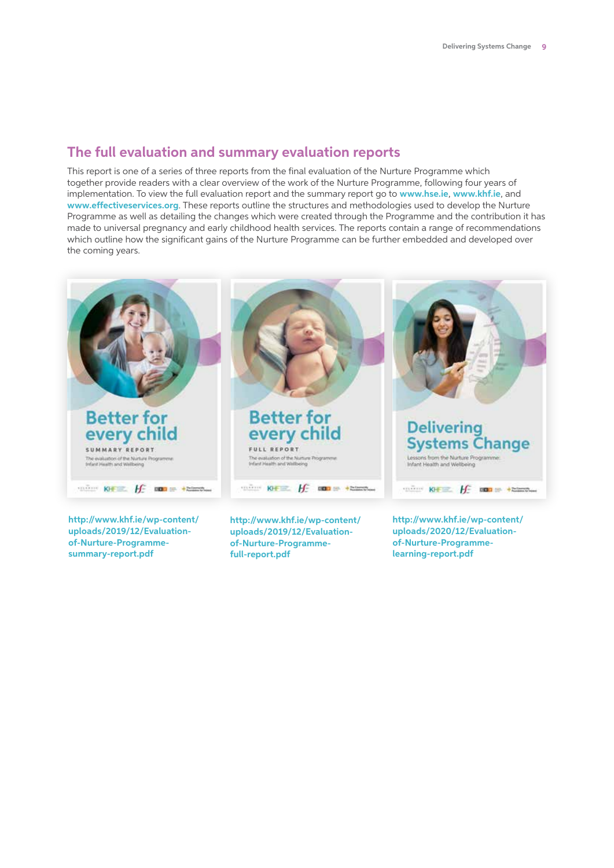### **The full evaluation and summary evaluation reports**

This report is one of a series of three reports from the final evaluation of the Nurture Programme which together provide readers with a clear overview of the work of the Nurture Programme, following four years of implementation. To view the full evaluation report and the summary report go to **[www.hse.ie](http://www.hse.ie)**, **[www.khf.ie](http://www.khf.ie)**, and **[www.effectiveservices.org](http://www.effectiveservices.org)**. These reports outline the structures and methodologies used to develop the Nurture Programme as well as detailing the changes which were created through the Programme and the contribution it has made to universal pregnancy and early childhood health services. The reports contain a range of recommendations which outline how the significant gains of the Nurture Programme can be further embedded and developed over the coming years.



**[http://www.khf.ie/wp-content/](http://www.khf.ie/wp-content/uploads/2019/12/Evaluation-of-Nurture-Programme-summary-report.pdf) [uploads/2019/12/Evaluation](http://www.khf.ie/wp-content/uploads/2019/12/Evaluation-of-Nurture-Programme-summary-report.pdf)[of-Nurture-Programme](http://www.khf.ie/wp-content/uploads/2019/12/Evaluation-of-Nurture-Programme-summary-report.pdf)[summary-report.pdf](http://www.khf.ie/wp-content/uploads/2019/12/Evaluation-of-Nurture-Programme-summary-report.pdf)**

**[http://www.khf.ie/wp-content/](http://www.khf.ie/wp-content/uploads/2019/12/Evaluation-of-Nurture-Programme-full-report.pdf) [uploads/2019/12/Evaluation](http://www.khf.ie/wp-content/uploads/2019/12/Evaluation-of-Nurture-Programme-full-report.pdf)[of-Nurture-Programme](http://www.khf.ie/wp-content/uploads/2019/12/Evaluation-of-Nurture-Programme-full-report.pdf)[full-report.pdf](http://www.khf.ie/wp-content/uploads/2019/12/Evaluation-of-Nurture-Programme-full-report.pdf)**

**[http://www.khf.ie/wp-content/](http://www.khf.ie/wp-content/uploads/2020/12/Evaluation-of-Nurture-Programme-learning-report.pdf) [uploads/2020/12/Evaluation](http://www.khf.ie/wp-content/uploads/2020/12/Evaluation-of-Nurture-Programme-learning-report.pdf)[of-Nurture-Programme](http://www.khf.ie/wp-content/uploads/2020/12/Evaluation-of-Nurture-Programme-learning-report.pdf)[learning-report.pdf](http://www.khf.ie/wp-content/uploads/2020/12/Evaluation-of-Nurture-Programme-learning-report.pdf)**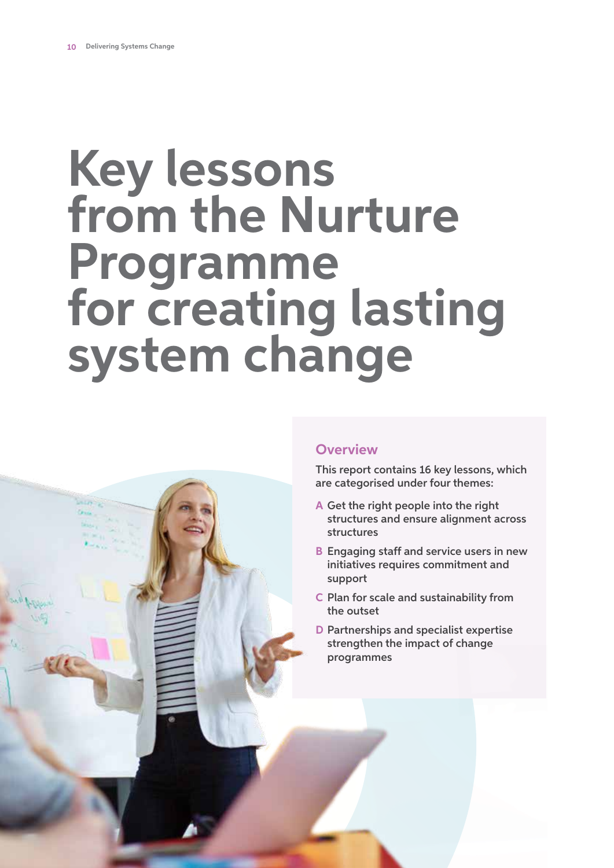# <span id="page-11-0"></span>**Key lessons from the Nurture Programme for creating lasting system change**



### **Overview**

This report contains 16 key lessons, which are categorised under four themes:

- **A** Get the right people into the right structures and ensure alignment across structures
- **B** Engaging staff and service users in new initiatives requires commitment and
- **C** Plan for scale and sustainability from the outset
- **D** Partnerships and specialist expertise strengthen the impact of change programmes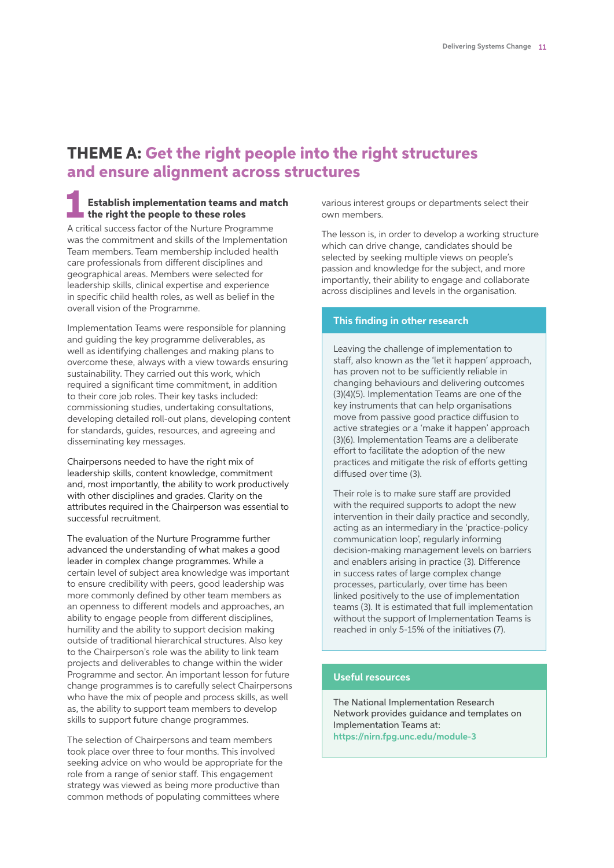# <span id="page-12-0"></span>THEME A: Get the right people into the right structures and ensure alignment across structures

#### **Establish implementation teams and match** the right the people to these roles

A critical success factor of the Nurture Programme was the commitment and skills of the Implementation Team members. Team membership included health care professionals from different disciplines and geographical areas. Members were selected for leadership skills, clinical expertise and experience in specific child health roles, as well as belief in the overall vision of the Programme.

Implementation Teams were responsible for planning and guiding the key programme deliverables, as well as identifying challenges and making plans to overcome these, always with a view towards ensuring sustainability. They carried out this work, which required a significant time commitment, in addition to their core job roles. Their key tasks included: commissioning studies, undertaking consultations, developing detailed roll-out plans, developing content for standards, guides, resources, and agreeing and disseminating key messages.

Chairpersons needed to have the right mix of leadership skills, content knowledge, commitment and, most importantly, the ability to work productively with other disciplines and grades. Clarity on the attributes required in the Chairperson was essential to successful recruitment.

The evaluation of the Nurture Programme further advanced the understanding of what makes a good leader in complex change programmes. While a certain level of subject area knowledge was important to ensure credibility with peers, good leadership was more commonly defined by other team members as an openness to different models and approaches, an ability to engage people from different disciplines, humility and the ability to support decision making outside of traditional hierarchical structures. Also key to the Chairperson's role was the ability to link team projects and deliverables to change within the wider Programme and sector. An important lesson for future change programmes is to carefully select Chairpersons who have the mix of people and process skills, as well as, the ability to support team members to develop skills to support future change programmes.

The selection of Chairpersons and team members took place over three to four months. This involved seeking advice on who would be appropriate for the role from a range of senior staff. This engagement strategy was viewed as being more productive than common methods of populating committees where

various interest groups or departments select their own members.

The lesson is, in order to develop a working structure which can drive change, candidates should be selected by seeking multiple views on people's passion and knowledge for the subject, and more importantly, their ability to engage and collaborate across disciplines and levels in the organisation.

#### **This finding in other research**

Leaving the challenge of implementation to staff, also known as the 'let it happen' approach, has proven not to be sufficiently reliable in changing behaviours and delivering outcomes (3)(4)(5). Implementation Teams are one of the key instruments that can help organisations move from passive good practice diffusion to active strategies or a 'make it happen' approach (3)(6). Implementation Teams are a deliberate effort to facilitate the adoption of the new practices and mitigate the risk of efforts getting diffused over time (3).

Their role is to make sure staff are provided with the required supports to adopt the new intervention in their daily practice and secondly, acting as an intermediary in the 'practice-policy communication loop', regularly informing decision-making management levels on barriers and enablers arising in practice (3). Difference in success rates of large complex change processes, particularly, over time has been linked positively to the use of implementation teams (3). It is estimated that full implementation without the support of Implementation Teams is reached in only 5-15% of the initiatives (7).

#### **Useful resources**

The National Implementation Research Network provides guidance and templates on Implementation Teams at: **[https://nirn.fpg.unc.edu/module-3](http://)**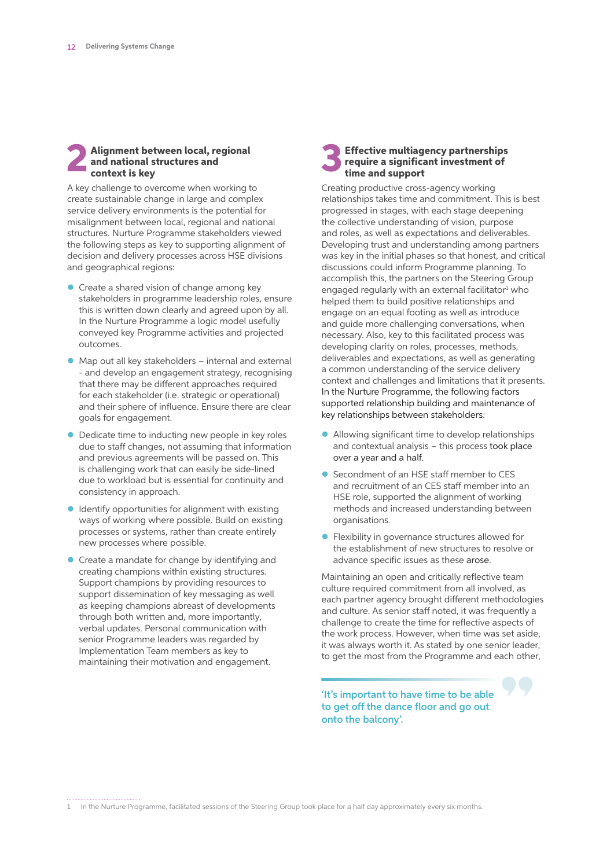#### <span id="page-13-0"></span>Alignment between local, regional and national structures and context is key

A key challenge to overcome when working to create sustainable change in large and complex service delivery environments is the potential for misalignment between local, regional and national structures. Nurture Programme stakeholders viewed the following steps as key to supporting alignment of decision and delivery processes across HSE divisions and geographical regions:

- $\bullet$  Create a shared vision of change among key stakeholders in programme leadership roles, ensure this is written down clearly and agreed upon by all. In the Nurture Programme a logic model usefully conveyed key Programme activities and projected outcomes.
- $\bullet$  Map out all key stakeholders internal and external - and develop an engagement strategy, recognising that there may be different approaches required for each stakeholder (i.e. strategic or operational) and their sphere of influence. Ensure there are clear goals for engagement.
- Dedicate time to inducting new people in key roles due to staff changes, not assuming that information and previous agreements will be passed on. This is challenging work that can easily be side-lined due to workload but is essential for continuity and consistency in approach.
- $\bullet$  Identify opportunities for alignment with existing ways of working where possible. Build on existing processes or systems, rather than create entirely new processes where possible.
- $\bullet$  Create a mandate for change by identifying and creating champions within existing structures. Support champions by providing resources to support dissemination of key messaging as well as keeping champions abreast of developments through both written and, more importantly, verbal updates. Personal communication with senior Programme leaders was regarded by Implementation Team members as key to maintaining their motivation and engagement.

#### **Effective multiagency partnerships** require a significant investment of time and support

Creating productive cross-agency working relationships takes time and commitment. This is best progressed in stages, with each stage deepening the collective understanding of vision, purpose and roles, as well as expectations and deliverables. Developing trust and understanding among partners was key in the initial phases so that honest, and critical discussions could inform Programme planning. To accomplish this, the partners on the Steering Group engaged regularly with an external facilitator<sup>1</sup> who helped them to build positive relationships and engage on an equal footing as well as introduce and guide more challenging conversations, when necessary. Also, key to this facilitated process was developing clarity on roles, processes, methods, deliverables and expectations, as well as generating a common understanding of the service delivery context and challenges and limitations that it presents. In the Nurture Programme, the following factors supported relationship building and maintenance of key relationships between stakeholders:

- Allowing significant time to develop relationships and contextual analysis – this process took place over a year and a half.
- Secondment of an HSE staff member to CES and recruitment of an CES staff member into an HSE role, supported the alignment of working methods and increased understanding between organisations.
- **•** Flexibility in governance structures allowed for the establishment of new structures to resolve or advance specific issues as these arose.

Maintaining an open and critically reflective team culture required commitment from all involved, as each partner agency brought different methodologies and culture. As senior staff noted, it was frequently a challenge to create the time for reflective aspects of the work process. However, when time was set aside, it was always worth it. As stated by one senior leader, to get the most from the Programme and each other,

'It's important to have time to be able to get off the dance floor and go out onto the balcony'.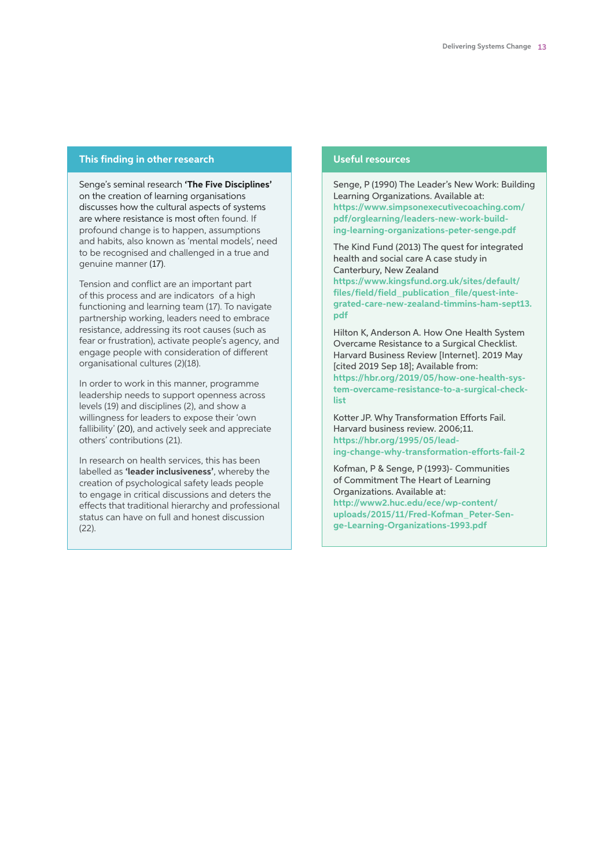#### **This finding in other research**

Senge's seminal research **'The Five Disciplines'** on the creation of learning organisations discusses how the cultural aspects of systems are where resistance is most often found. If profound change is to happen, assumptions and habits, also known as 'mental models', need to be recognised and challenged in a true and genuine manner (17).

Tension and conflict are an important part of this process and are indicators of a high functioning and learning team (17). To navigate partnership working, leaders need to embrace resistance, addressing its root causes (such as fear or frustration), activate people's agency, and engage people with consideration of different organisational cultures (2)(18).

In order to work in this manner, programme leadership needs to support openness across levels (19) and disciplines (2), and show a willingness for leaders to expose their 'own fallibility' (20), and actively seek and appreciate others' contributions (21).

In research on health services, this has been labelled as **'leader inclusiveness'**, whereby the creation of psychological safety leads people to engage in critical discussions and deters the effects that traditional hierarchy and professional status can have on full and honest discussion  $(22)$ 

#### **Useful resources**

Senge, P (1990) The Leader's New Work: Building Learning Organizations. Available at: **[https://www.simpsonexecutivecoaching.com/](https://www.simpsonexecutivecoaching.com/pdf/orglearning/leaders-new-work-building-learning-organizations-peter-senge.pdf) [pdf/orglearning/leaders-new-work-build](https://www.simpsonexecutivecoaching.com/pdf/orglearning/leaders-new-work-building-learning-organizations-peter-senge.pdf)[ing-learning-organizations-peter-senge.pdf](https://www.simpsonexecutivecoaching.com/pdf/orglearning/leaders-new-work-building-learning-organizations-peter-senge.pdf)**

The Kind Fund (2013) The quest for integrated health and social care A case study in Canterbury, New Zealand **[https://www.kingsfund.org.uk/sites/default/](https://www.kingsfund.org.uk/sites/default/files/field/field_publication_file/quest-integrated-care-new-zealand-timmins-ham-sept13.pdf) [files/field/field\\_publication\\_file/quest-inte](https://www.kingsfund.org.uk/sites/default/files/field/field_publication_file/quest-integrated-care-new-zealand-timmins-ham-sept13.pdf)[grated-care-new-zealand-timmins-ham-sept13.](https://www.kingsfund.org.uk/sites/default/files/field/field_publication_file/quest-integrated-care-new-zealand-timmins-ham-sept13.pdf) [pdf](https://www.kingsfund.org.uk/sites/default/files/field/field_publication_file/quest-integrated-care-new-zealand-timmins-ham-sept13.pdf)**

Hilton K, Anderson A. How One Health System Overcame Resistance to a Surgical Checklist. Harvard Business Review [Internet]. 2019 May [cited 2019 Sep 18]; Available from:

**[https://hbr.org/2019/05/how-one-health-sys](https://hbr.org/2019/05/how-one-health-system-overcame-resistance-to-a-surgical-checklist)[tem-overcame-resistance-to-a-surgical-check](https://hbr.org/2019/05/how-one-health-system-overcame-resistance-to-a-surgical-checklist)[list](https://hbr.org/2019/05/how-one-health-system-overcame-resistance-to-a-surgical-checklist)**

Kotter JP. Why Transformation Efforts Fail. Harvard business review. 2006;11. **[https://hbr.org/1995/05/lead](https://hbr.org/1995/05/leading-change-why-transformation-efforts-fail-2)[ing-change-why-transformation-efforts-fail-2](https://hbr.org/1995/05/leading-change-why-transformation-efforts-fail-2)**

Kofman, P & Senge, P (1993)- Communities of Commitment The Heart of Learning Organizations. Available at:

**[http://www2.huc.edu/ece/wp-content/](http://www2.huc.edu/ece/wp-content/uploads/2015/11/Fred-Kofman_Peter-Senge-Learning-Organizations-1993.pdf) [uploads/2015/11/Fred-Kofman\\_Peter-Sen](http://www2.huc.edu/ece/wp-content/uploads/2015/11/Fred-Kofman_Peter-Senge-Learning-Organizations-1993.pdf)[ge-Learning-Organizations-1993.pdf](http://www2.huc.edu/ece/wp-content/uploads/2015/11/Fred-Kofman_Peter-Senge-Learning-Organizations-1993.pdf)**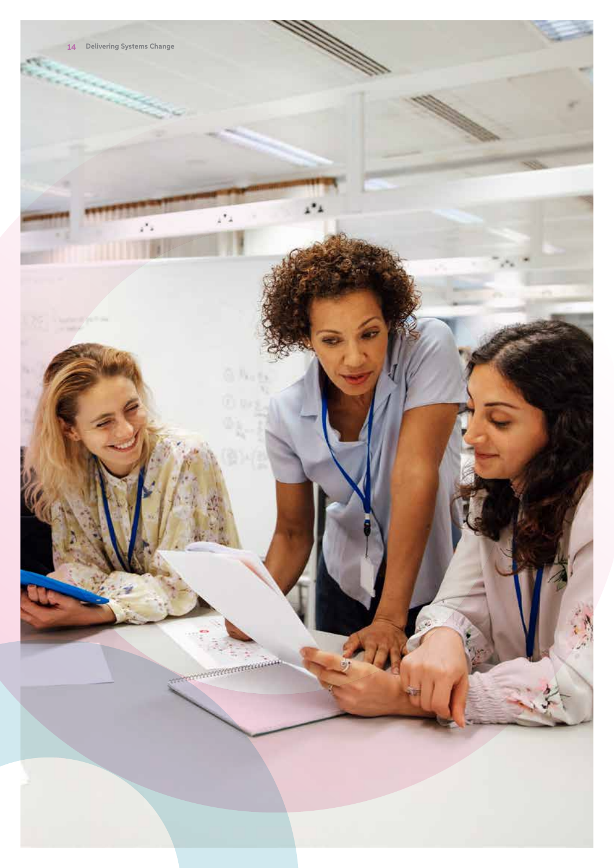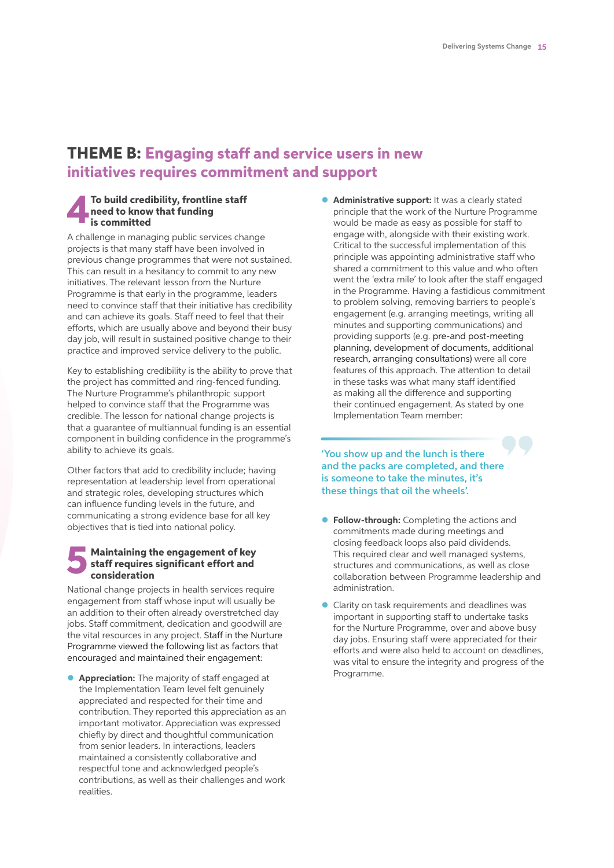# <span id="page-16-0"></span>THEME B: Engaging staff and service users in new initiatives requires commitment and support

#### To build credibility, frontline staff need to know that funding is committed

A challenge in managing public services change projects is that many staff have been involved in previous change programmes that were not sustained. This can result in a hesitancy to commit to any new initiatives. The relevant lesson from the Nurture Programme is that early in the programme, leaders need to convince staff that their initiative has credibility and can achieve its goals. Staff need to feel that their efforts, which are usually above and beyond their busy day job, will result in sustained positive change to their practice and improved service delivery to the public.

Key to establishing credibility is the ability to prove that the project has committed and ring-fenced funding. The Nurture Programme's philanthropic support helped to convince staff that the Programme was credible. The lesson for national change projects is that a guarantee of multiannual funding is an essential component in building confidence in the programme's ability to achieve its goals.

Other factors that add to credibility include; having representation at leadership level from operational and strategic roles, developing structures which can influence funding levels in the future, and communicating a strong evidence base for all key objectives that is tied into national policy.

#### Maintaining the engagement of key<br>staff requires significant effort and<br>consideration staff requires significant effort and consideration

National change projects in health services require engagement from staff whose input will usually be an addition to their often already overstretched day jobs. Staff commitment, dedication and goodwill are the vital resources in any project. Staff in the Nurture Programme viewed the following list as factors that encouraged and maintained their engagement:

**Appreciation:** The majority of staff engaged at the Implementation Team level felt genuinely appreciated and respected for their time and contribution. They reported this appreciation as an important motivator. Appreciation was expressed chiefly by direct and thoughtful communication from senior leaders. In interactions, leaders maintained a consistently collaborative and respectful tone and acknowledged people's contributions, as well as their challenges and work realities.

**Administrative support:** It was a clearly stated principle that the work of the Nurture Programme would be made as easy as possible for staff to engage with, alongside with their existing work. Critical to the successful implementation of this principle was appointing administrative staff who shared a commitment to this value and who often went the 'extra mile' to look after the staff engaged in the Programme. Having a fastidious commitment to problem solving, removing barriers to people's engagement (e.g. arranging meetings, writing all minutes and supporting communications) and providing supports (e.g. pre-and post-meeting planning, development of documents, additional research, arranging consultations) were all core features of this approach. The attention to detail in these tasks was what many staff identified as making all the difference and supporting their continued engagement. As stated by one Implementation Team member:

'You show up and the lunch is there and the packs are completed, and there is someone to take the minutes, it's these things that oil the wheels'.

- **Follow-through:** Completing the actions and commitments made during meetings and closing feedback loops also paid dividends. This required clear and well managed systems, structures and communications, as well as close collaboration between Programme leadership and administration.
- **Clarity on task requirements and deadlines was** important in supporting staff to undertake tasks for the Nurture Programme, over and above busy day jobs. Ensuring staff were appreciated for their efforts and were also held to account on deadlines, was vital to ensure the integrity and progress of the Programme.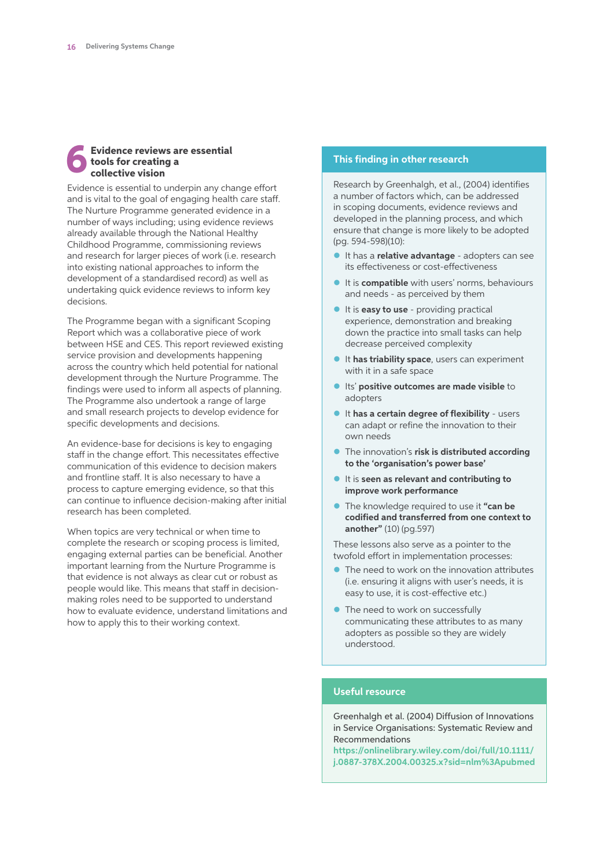#### <span id="page-17-0"></span>Evidence reviews are essential tools for creating a collective vision

Evidence is essential to underpin any change effort and is vital to the goal of engaging health care staff. The Nurture Programme generated evidence in a number of ways including; using evidence reviews already available through the National Healthy Childhood Programme, commissioning reviews and research for larger pieces of work (i.e. research into existing national approaches to inform the development of a standardised record) as well as undertaking quick evidence reviews to inform key decisions.

The Programme began with a significant Scoping Report which was a collaborative piece of work between HSE and CES. This report reviewed existing service provision and developments happening across the country which held potential for national development through the Nurture Programme. The findings were used to inform all aspects of planning. The Programme also undertook a range of large and small research projects to develop evidence for specific developments and decisions.

An evidence-base for decisions is key to engaging staff in the change effort. This necessitates effective communication of this evidence to decision makers and frontline staff. It is also necessary to have a process to capture emerging evidence, so that this can continue to influence decision-making after initial research has been completed.

When topics are very technical or when time to complete the research or scoping process is limited, engaging external parties can be beneficial. Another important learning from the Nurture Programme is that evidence is not always as clear cut or robust as people would like. This means that staff in decisionmaking roles need to be supported to understand how to evaluate evidence, understand limitations and how to apply this to their working context.

#### **This finding in other research**

Research by Greenhalgh, et al., (2004) identifies a number of factors which, can be addressed in scoping documents, evidence reviews and developed in the planning process, and which ensure that change is more likely to be adopted (pg. 594-598)(10):

- **It has a relative advantage** adopters can see its effectiveness or cost-effectiveness
- **If is compatible** with users' norms, behaviours and needs - as perceived by them
- **It is easy to use** providing practical experience, demonstration and breaking down the practice into small tasks can help decrease perceived complexity
- **If has triability space**, users can experiment with it in a safe space
- **.** Its' positive outcomes are made visible to adopters
- **It has a certain degree of flexibility** users can adapt or refine the innovation to their own needs
- **The innovation's risk is distributed according to the 'organisation's power base'**
- **•** It is seen as relevant and contributing to **improve work performance**
- l The knowledge required to use it **"can be codified and transferred from one context to another"** (10) (pg.597)

These lessons also serve as a pointer to the twofold effort in implementation processes:

- **•** The need to work on the innovation attributes (i.e. ensuring it aligns with user's needs, it is easy to use, it is cost-effective etc.)
- $\bullet$  The need to work on successfully communicating these attributes to as many adopters as possible so they are widely understood.

#### **Useful resource**

Greenhalgh et al. (2004) Diffusion of Innovations in Service Organisations: Systematic Review and Recommendations

**[https://onlinelibrary.wiley.com/doi/full/10.1111/](https://onlinelibrary.wiley.com/doi/full/10.1111/j.0887-378X.2004.00325.x?sid=nlm%3Apubmed) [j.0887-378X.2004.00325.x?sid=nlm%3Apubmed](https://onlinelibrary.wiley.com/doi/full/10.1111/j.0887-378X.2004.00325.x?sid=nlm%3Apubmed)**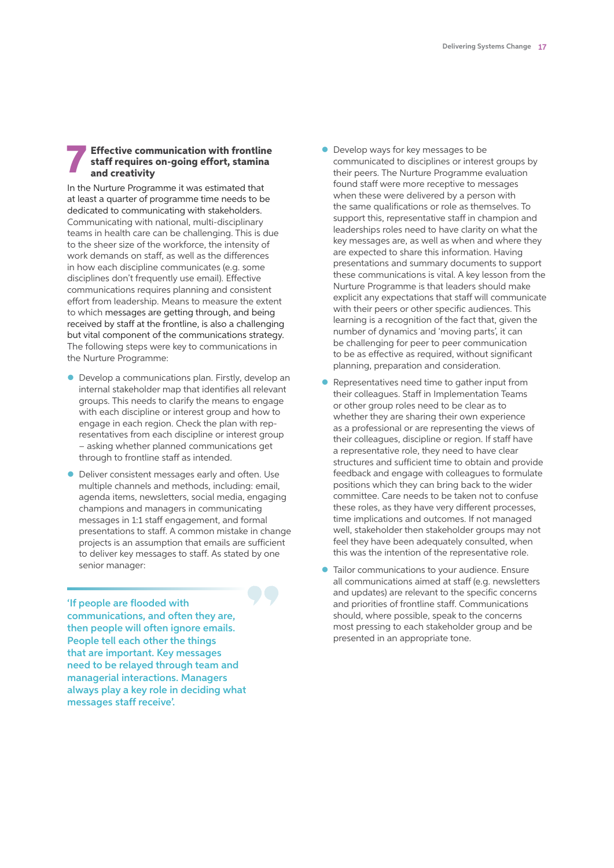#### <span id="page-18-0"></span>**7 Effective communication with frontline**<br>staff requires on-going effort, stamina<br>and creativity staff requires on-going effort, stamina and creativity

In the Nurture Programme it was estimated that at least a quarter of programme time needs to be dedicated to communicating with stakeholders. Communicating with national, multi-disciplinary teams in health care can be challenging. This is due to the sheer size of the workforce, the intensity of work demands on staff, as well as the differences in how each discipline communicates (e.g. some disciplines don't frequently use email). Effective communications requires planning and consistent effort from leadership. Means to measure the extent to which messages are getting through, and being received by staff at the frontline, is also a challenging but vital component of the communications strategy. The following steps were key to communications in the Nurture Programme:

- **•** Develop a communications plan. Firstly, develop an internal stakeholder map that identifies all relevant groups. This needs to clarify the means to engage with each discipline or interest group and how to engage in each region. Check the plan with representatives from each discipline or interest group – asking whether planned communications get through to frontline staff as intended.
- **•** Deliver consistent messages early and often. Use multiple channels and methods, including: email, agenda items, newsletters, social media, engaging champions and managers in communicating messages in 1:1 staff engagement, and formal presentations to staff. A common mistake in change projects is an assumption that emails are sufficient to deliver key messages to staff. As stated by one senior manager:

'If people are flooded with communications, and often they are, then people will often ignore emails. People tell each other the things that are important. Key messages need to be relayed through team and managerial interactions. Managers always play a key role in deciding what messages staff receive'.

- **•** Develop ways for key messages to be communicated to disciplines or interest groups by their peers. The Nurture Programme evaluation found staff were more receptive to messages when these were delivered by a person with the same qualifications or role as themselves. To support this, representative staff in champion and leaderships roles need to have clarity on what the key messages are, as well as when and where they are expected to share this information. Having presentations and summary documents to support these communications is vital. A key lesson from the Nurture Programme is that leaders should make explicit any expectations that staff will communicate with their peers or other specific audiences. This learning is a recognition of the fact that, given the number of dynamics and 'moving parts', it can be challenging for peer to peer communication to be as effective as required, without significant planning, preparation and consideration.
- Representatives need time to gather input from their colleagues. Staff in Implementation Teams or other group roles need to be clear as to whether they are sharing their own experience as a professional or are representing the views of their colleagues, discipline or region. If staff have a representative role, they need to have clear structures and sufficient time to obtain and provide feedback and engage with colleagues to formulate positions which they can bring back to the wider committee. Care needs to be taken not to confuse these roles, as they have very different processes, time implications and outcomes. If not managed well, stakeholder then stakeholder groups may not feel they have been adequately consulted, when this was the intention of the representative role.
- Tailor communications to your audience. Ensure all communications aimed at staff (e.g. newsletters and updates) are relevant to the specific concerns and priorities of frontline staff. Communications should, where possible, speak to the concerns most pressing to each stakeholder group and be presented in an appropriate tone.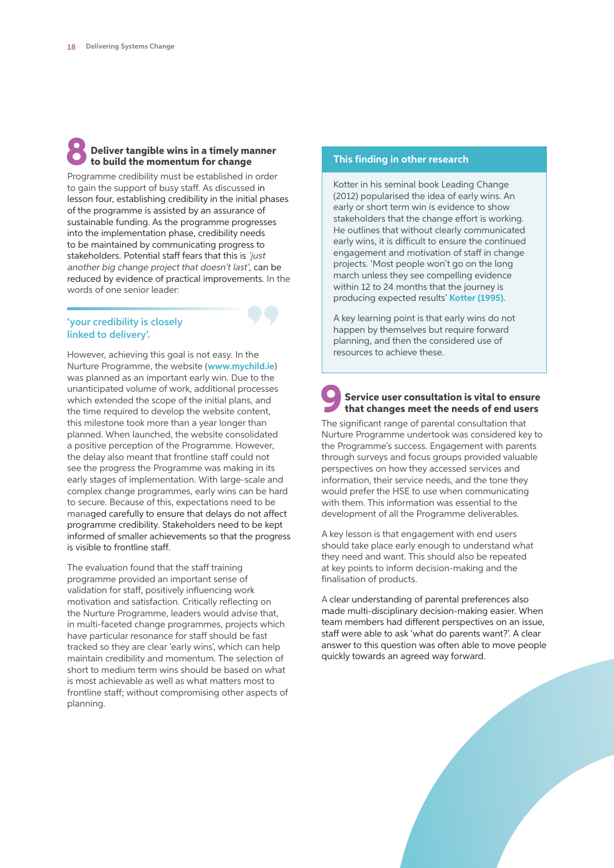#### <span id="page-19-0"></span>**Deliver tangible wins in a timely manner** to build the momentum for change

Programme credibility must be established in order to gain the support of busy staff. As discussed in lesson four, establishing credibility in the initial phases of the programme is assisted by an assurance of sustainable funding. As the programme progresses into the implementation phase, credibility needs to be maintained by communicating progress to stakeholders. Potential staff fears that this is 'just another big change project that doesn't last', can be reduced by evidence of practical improvements. In the words of one senior leader:

#### 'your credibility is closely linked to delivery'.

However, achieving this goal is not easy. In the Nurture Programme, the website (**[www.mychild.ie](http://www.mychild.ie)**) was planned as an important early win. Due to the unanticipated volume of work, additional processes which extended the scope of the initial plans, and the time required to develop the website content, this milestone took more than a year longer than planned. When launched, the website consolidated a positive perception of the Programme. However, the delay also meant that frontline staff could not see the progress the Programme was making in its early stages of implementation. With large-scale and complex change programmes, early wins can be hard to secure. Because of this, expectations need to be managed carefully to ensure that delays do not affect programme credibility. Stakeholders need to be kept informed of smaller achievements so that the progress is visible to frontline staff.

The evaluation found that the staff training programme provided an important sense of validation for staff, positively influencing work motivation and satisfaction. Critically reflecting on the Nurture Programme, leaders would advise that, in multi-faceted change programmes, projects which have particular resonance for staff should be fast tracked so they are clear 'early wins', which can help maintain credibility and momentum. The selection of short to medium term wins should be based on what is most achievable as well as what matters most to frontline staff; without compromising other aspects of planning.

#### **This finding in other research**

Kotter in his seminal book Leading Change (2012) popularised the idea of early wins. An early or short term win is evidence to show stakeholders that the change effort is working. He outlines that without clearly communicated early wins, it is difficult to ensure the continued engagement and motivation of staff in change projects. 'Most people won't go on the long march unless they see compelling evidence within 12 to 24 months that the journey is producing expected results' **[Kotter \(1995\)](https://hbr.org/1995/05/leading-change-why-transformation-efforts-fail-2)**.

A key learning point is that early wins do not happen by themselves but require forward planning, and then the considered use of resources to achieve these.

#### Service user consultation is vital to ensure that changes meet the needs of end users

The significant range of parental consultation that Nurture Programme undertook was considered key to the Programme's success. Engagement with parents through surveys and focus groups provided valuable perspectives on how they accessed services and information, their service needs, and the tone they would prefer the HSE to use when communicating with them. This information was essential to the development of all the Programme deliverables.

A key lesson is that engagement with end users should take place early enough to understand what they need and want. This should also be repeated at key points to inform decision-making and the finalisation of products.

A clear understanding of parental preferences also made multi-disciplinary decision-making easier. When team members had different perspectives on an issue, staff were able to ask 'what do parents want?'. A clear answer to this question was often able to move people quickly towards an agreed way forward.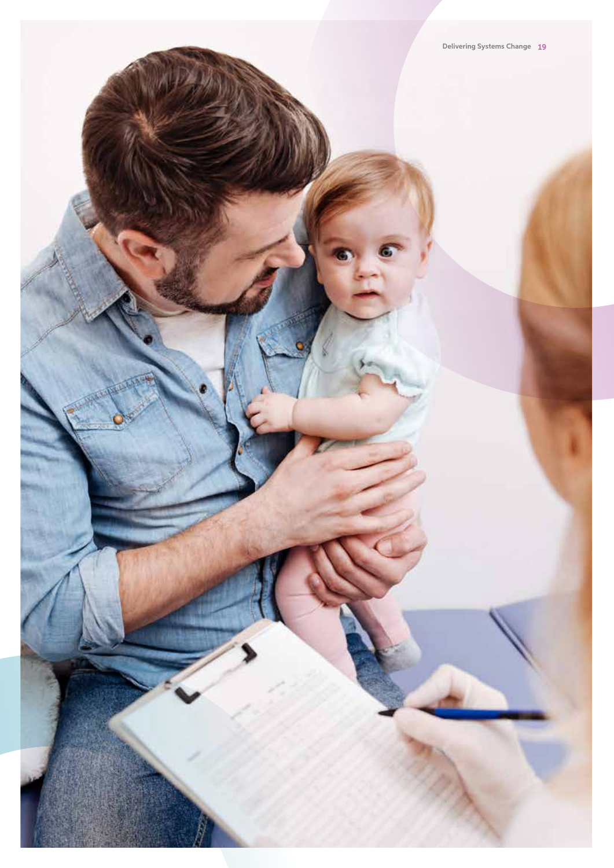<span id="page-20-0"></span>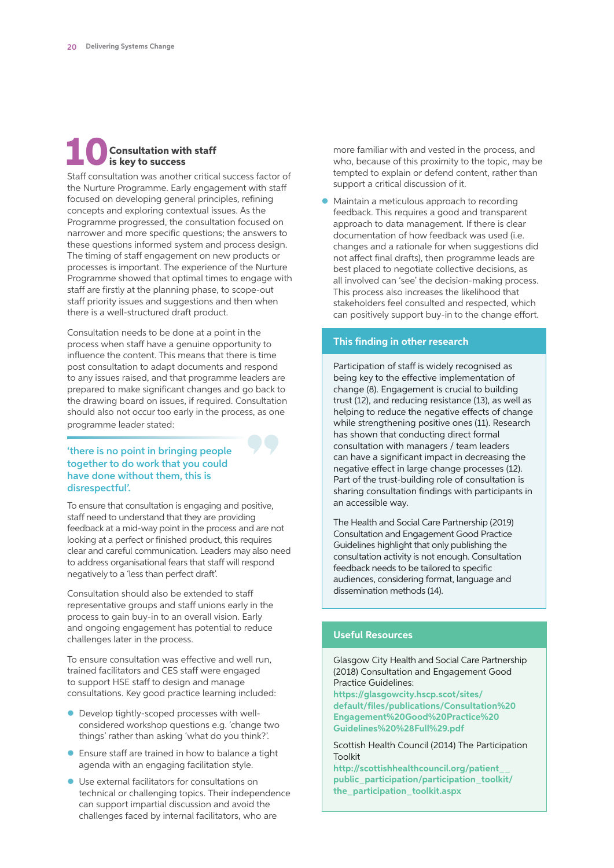## <span id="page-21-0"></span>**Consultation with staff** is key to success

Staff consultation was another critical success factor of the Nurture Programme. Early engagement with staff focused on developing general principles, refining concepts and exploring contextual issues. As the Programme progressed, the consultation focused on narrower and more specific questions; the answers to these questions informed system and process design. The timing of staff engagement on new products or processes is important. The experience of the Nurture Programme showed that optimal times to engage with staff are firstly at the planning phase, to scope-out staff priority issues and suggestions and then when there is a well-structured draft product.

Consultation needs to be done at a point in the process when staff have a genuine opportunity to influence the content. This means that there is time post consultation to adapt documents and respond to any issues raised, and that programme leaders are prepared to make significant changes and go back to the drawing board on issues, if required. Consultation should also not occur too early in the process, as one programme leader stated:

#### 'there is no point in bringing people together to do work that you could have done without them, this is disrespectful'.

To ensure that consultation is engaging and positive, staff need to understand that they are providing feedback at a mid-way point in the process and are not looking at a perfect or finished product, this requires clear and careful communication. Leaders may also need to address organisational fears that staff will respond negatively to a 'less than perfect draft'.

Consultation should also be extended to staff representative groups and staff unions early in the process to gain buy-in to an overall vision. Early and ongoing engagement has potential to reduce challenges later in the process.

To ensure consultation was effective and well run, trained facilitators and CES staff were engaged to support HSE staff to design and manage consultations. Key good practice learning included:

- **•** Develop tightly-scoped processes with wellconsidered workshop questions e.g. 'change two things' rather than asking 'what do you think?'.
- **•** Ensure staff are trained in how to balance a tight agenda with an engaging facilitation style.
- l Use external facilitators for consultations on technical or challenging topics. Their independence can support impartial discussion and avoid the challenges faced by internal facilitators, who are

more familiar with and vested in the process, and who, because of this proximity to the topic, may be tempted to explain or defend content, rather than support a critical discussion of it.

Maintain a meticulous approach to recording feedback. This requires a good and transparent approach to data management. If there is clear documentation of how feedback was used (i.e. changes and a rationale for when suggestions did not affect final drafts), then programme leads are best placed to negotiate collective decisions, as all involved can 'see' the decision-making process. This process also increases the likelihood that stakeholders feel consulted and respected, which can positively support buy-in to the change effort.

#### **This finding in other research**

Participation of staff is widely recognised as being key to the effective implementation of change (8). Engagement is crucial to building trust (12), and reducing resistance (13), as well as helping to reduce the negative effects of change while strengthening positive ones (11). Research has shown that conducting direct formal consultation with managers / team leaders can have a significant impact in decreasing the negative effect in large change processes (12). Part of the trust-building role of consultation is sharing consultation findings with participants in an accessible way.

The Health and Social Care Partnership (2019) Consultation and Engagement Good Practice Guidelines highlight that only publishing the consultation activity is not enough. Consultation feedback needs to be tailored to specific audiences, considering format, language and dissemination methods (14).

#### **Useful Resources**

Glasgow City Health and Social Care Partnership (2018) Consultation and Engagement Good Practice Guidelines:

**[https://glasgowcity.hscp.scot/sites/](https://glasgowcity.hscp.scot/sites/default/files/publications/Consultation%20Engagement%20Good%20Practice%20Guidelines%20%28Full%29.pdf) [default/files/publications/Consultation%20](https://glasgowcity.hscp.scot/sites/default/files/publications/Consultation%20Engagement%20Good%20Practice%20Guidelines%20%28Full%29.pdf) [Engagement%20Good%20Practice%20](https://glasgowcity.hscp.scot/sites/default/files/publications/Consultation%20Engagement%20Good%20Practice%20Guidelines%20%28Full%29.pdf) [Guidelines%20%28Full%29.pdf](https://glasgowcity.hscp.scot/sites/default/files/publications/Consultation%20Engagement%20Good%20Practice%20Guidelines%20%28Full%29.pdf)**

Scottish Health Council (2014) The Participation Toolkit

**[http://scottishhealthcouncil.org/patient\\_\\_](http://scottishhealthcouncil.org/patient__public_participation/participation_toolkit/the_participation_toolkit.aspx) [public\\_participation/participation\\_toolkit/](http://scottishhealthcouncil.org/patient__public_participation/participation_toolkit/the_participation_toolkit.aspx) [the\\_participation\\_toolkit.aspx](http://scottishhealthcouncil.org/patient__public_participation/participation_toolkit/the_participation_toolkit.aspx)**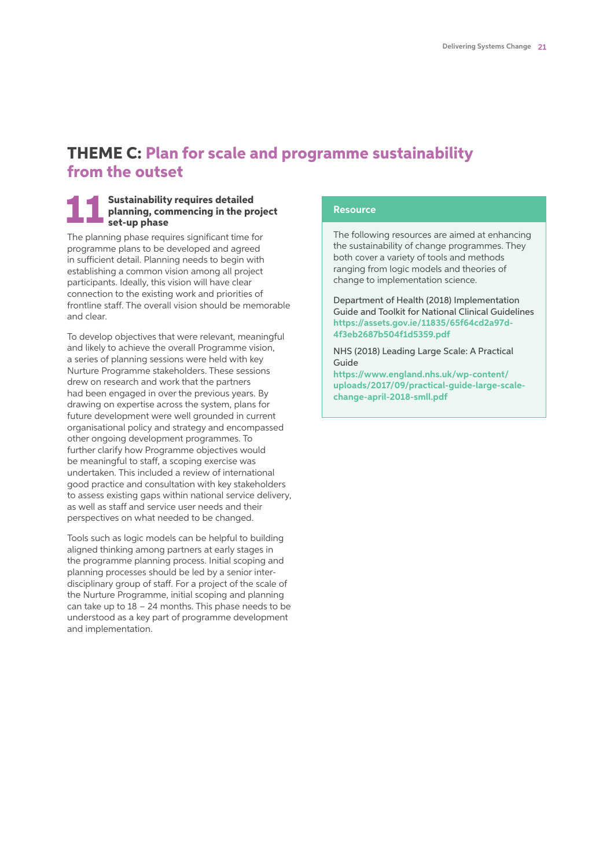# <span id="page-22-0"></span>THEME C: Plan for scale and programme sustainability from the outset

#### Sustainability requires detailed<br>planning, commencing in the present-up phase planning, commencing in the project set-up phase

The planning phase requires significant time for programme plans to be developed and agreed in sufficient detail. Planning needs to begin with establishing a common vision among all project participants. Ideally, this vision will have clear connection to the existing work and priorities of frontline staff. The overall vision should be memorable and clear.

To develop objectives that were relevant, meaningful and likely to achieve the overall Programme vision, a series of planning sessions were held with key Nurture Programme stakeholders. These sessions drew on research and work that the partners had been engaged in over the previous years. By drawing on expertise across the system, plans for future development were well grounded in current organisational policy and strategy and encompassed other ongoing development programmes. To further clarify how Programme objectives would be meaningful to staff, a scoping exercise was undertaken. This included a review of international good practice and consultation with key stakeholders to assess existing gaps within national service delivery, as well as staff and service user needs and their perspectives on what needed to be changed.

Tools such as logic models can be helpful to building aligned thinking among partners at early stages in the programme planning process. Initial scoping and planning processes should be led by a senior interdisciplinary group of staff. For a project of the scale of the Nurture Programme, initial scoping and planning can take up to 18 – 24 months. This phase needs to be understood as a key part of programme development and implementation.

#### **Resource**

The following resources are aimed at enhancing the sustainability of change programmes. They both cover a variety of tools and methods ranging from logic models and theories of change to implementation science.

Department of Health (2018) Implementation Guide and Toolkit for National Clinical Guidelines **[https://assets.gov.ie/11835/65f64cd2a97d-](https://assets.gov.ie/11835/65f64cd2a97d4f3eb2687b504f1d5359.pdf)[4f3eb2687b504f1d5359.pdf](https://assets.gov.ie/11835/65f64cd2a97d4f3eb2687b504f1d5359.pdf)**

NHS (2018) Leading Large Scale: A Practical Guide

**[https://www.england.nhs.uk/wp-content/](https://www.england.nhs.uk/wp-content/uploads/2017/09/practical-guide-large-scale-change-april-2018-smll.pdf) [uploads/2017/09/practical-guide-large-scale](https://www.england.nhs.uk/wp-content/uploads/2017/09/practical-guide-large-scale-change-april-2018-smll.pdf)[change-april-2018-smll.pdf](https://www.england.nhs.uk/wp-content/uploads/2017/09/practical-guide-large-scale-change-april-2018-smll.pdf)**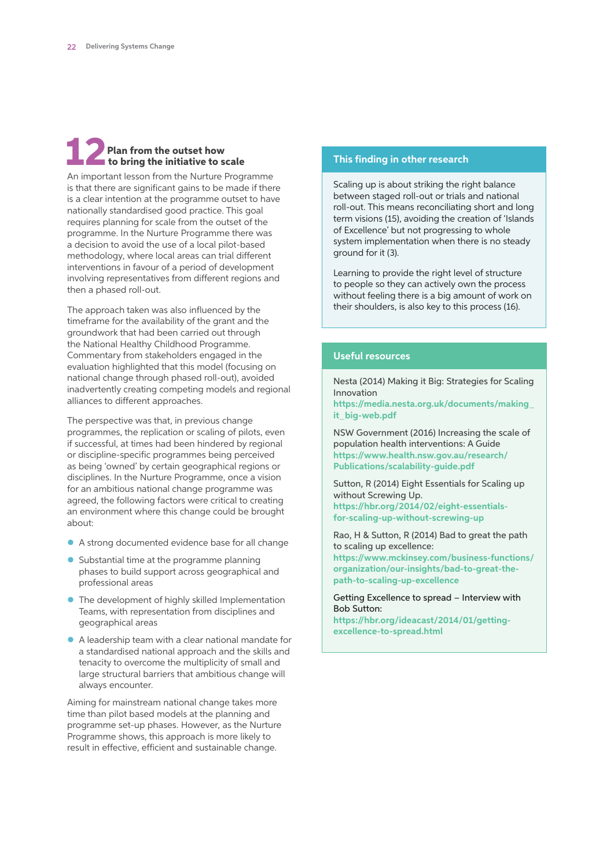# **12** Plan from the outset how<br>to bring the initiative to scale

An important lesson from the Nurture Programme is that there are significant gains to be made if there is a clear intention at the programme outset to have nationally standardised good practice. This goal requires planning for scale from the outset of the programme. In the Nurture Programme there was a decision to avoid the use of a local pilot-based methodology, where local areas can trial different interventions in favour of a period of development involving representatives from different regions and then a phased roll-out.

The approach taken was also influenced by the timeframe for the availability of the grant and the groundwork that had been carried out through the National Healthy Childhood Programme. Commentary from stakeholders engaged in the evaluation highlighted that this model (focusing on national change through phased roll-out), avoided inadvertently creating competing models and regional alliances to different approaches.

The perspective was that, in previous change programmes, the replication or scaling of pilots, even if successful, at times had been hindered by regional or discipline-specific programmes being perceived as being 'owned' by certain geographical regions or disciplines. In the Nurture Programme, once a vision for an ambitious national change programme was agreed, the following factors were critical to creating an environment where this change could be brought about:

- l A strong documented evidence base for all change
- **C** Substantial time at the programme planning phases to build support across geographical and professional areas
- **•** The development of highly skilled Implementation Teams, with representation from disciplines and geographical areas
- l A leadership team with a clear national mandate for a standardised national approach and the skills and tenacity to overcome the multiplicity of small and large structural barriers that ambitious change will always encounter.

Aiming for mainstream national change takes more time than pilot based models at the planning and programme set-up phases. However, as the Nurture Programme shows, this approach is more likely to result in effective, efficient and sustainable change.

#### **This finding in other research**

Scaling up is about striking the right balance between staged roll-out or trials and national roll-out. This means reconciliating short and long term visions (15), avoiding the creation of 'Islands of Excellence' but not progressing to whole system implementation when there is no steady ground for it (3).

Learning to provide the right level of structure to people so they can actively own the process without feeling there is a big amount of work on their shoulders, is also key to this process (16).

#### **Useful resources**

Nesta (2014) Making it Big: Strategies for Scaling Innovation

**[https://media.nesta.org.uk/documents/making\\_](https://media.nesta.org.uk/documents/making_it_big-web.pdf) [it\\_big-web.pdf](https://media.nesta.org.uk/documents/making_it_big-web.pdf)** 

NSW Government (2016) Increasing the scale of population health interventions: A Guide **[https://www.health.nsw.gov.au/research/](https://www.health.nsw.gov.au/research/Publications/scalability-guide.pdf) [Publications/scalability-guide.pdf](https://www.health.nsw.gov.au/research/Publications/scalability-guide.pdf)**

Sutton, R (2014) Eight Essentials for Scaling up without Screwing Up. **[https://hbr.org/2014/02/eight-essentials](https://hbr.org/2014/02/eight-essentials-for-scaling-up-without-screwing-up)[for-scaling-up-without-screwing-up](https://hbr.org/2014/02/eight-essentials-for-scaling-up-without-screwing-up)**

Rao, H & Sutton, R (2014) Bad to great the path to scaling up excellence: **[https://www.mckinsey.com/business-functions/](https://www.mckinsey.com/business-functions/organization/our-insights/bad-to-great-the-path-to-scaling-up-excellence) [organization/our-insights/bad-to-great-the](https://www.mckinsey.com/business-functions/organization/our-insights/bad-to-great-the-path-to-scaling-up-excellence)[path-to-scaling-up-excellence](https://www.mckinsey.com/business-functions/organization/our-insights/bad-to-great-the-path-to-scaling-up-excellence)**

Getting Excellence to spread – Interview with Bob Sutton:

**[https://hbr.org/ideacast/2014/01/getting](https://hbr.org/ideacast/2014/01/getting-excellence-to-spread.html)[excellence-to-spread.html](https://hbr.org/ideacast/2014/01/getting-excellence-to-spread.html)**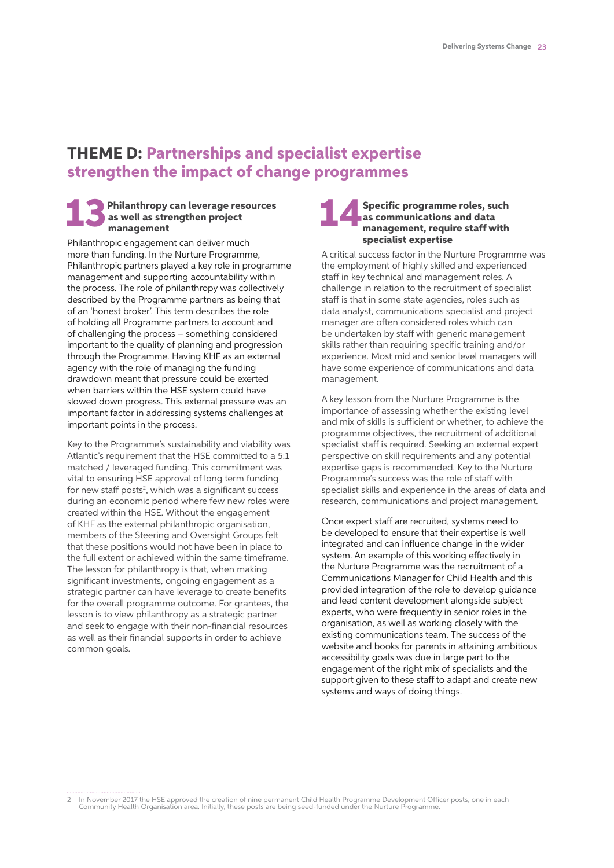# <span id="page-24-0"></span>THEME D: Partnerships and specialist expertise strengthen the impact of change programmes

#### Philanthropy can leverage resources as well as strengthen project management

Philanthropic engagement can deliver much more than funding. In the Nurture Programme, Philanthropic partners played a key role in programme management and supporting accountability within the process. The role of philanthropy was collectively described by the Programme partners as being that of an 'honest broker'. This term describes the role of holding all Programme partners to account and of challenging the process – something considered important to the quality of planning and progression through the Programme. Having KHF as an external agency with the role of managing the funding drawdown meant that pressure could be exerted when barriers within the HSE system could have slowed down progress. This external pressure was an important factor in addressing systems challenges at important points in the process.

Key to the Programme's sustainability and viability was Atlantic's requirement that the HSE committed to a 5:1 matched / leveraged funding. This commitment was vital to ensuring HSE approval of long term funding for new staff posts<sup>2</sup>, which was a significant success during an economic period where few new roles were created within the HSE. Without the engagement of KHF as the external philanthropic organisation, members of the Steering and Oversight Groups felt that these positions would not have been in place to the full extent or achieved within the same timeframe. The lesson for philanthropy is that, when making significant investments, ongoing engagement as a strategic partner can have leverage to create benefits for the overall programme outcome. For grantees, the lesson is to view philanthropy as a strategic partner and seek to engage with their non-financial resources as well as their financial supports in order to achieve common goals.

#### Specific programme roles, such as communications and data management, require staff with specialist expertise

A critical success factor in the Nurture Programme was the employment of highly skilled and experienced staff in key technical and management roles. A challenge in relation to the recruitment of specialist staff is that in some state agencies, roles such as data analyst, communications specialist and project manager are often considered roles which can be undertaken by staff with generic management skills rather than requiring specific training and/or experience. Most mid and senior level managers will have some experience of communications and data management.

A key lesson from the Nurture Programme is the importance of assessing whether the existing level and mix of skills is sufficient or whether, to achieve the programme objectives, the recruitment of additional specialist staff is required. Seeking an external expert perspective on skill requirements and any potential expertise gaps is recommended. Key to the Nurture Programme's success was the role of staff with specialist skills and experience in the areas of data and research, communications and project management.

Once expert staff are recruited, systems need to be developed to ensure that their expertise is well integrated and can influence change in the wider system. An example of this working effectively in the Nurture Programme was the recruitment of a Communications Manager for Child Health and this provided integration of the role to develop guidance and lead content development alongside subject experts, who were frequently in senior roles in the organisation, as well as working closely with the existing communications team. The success of the website and books for parents in attaining ambitious accessibility goals was due in large part to the engagement of the right mix of specialists and the support given to these staff to adapt and create new systems and ways of doing things.

<sup>2</sup> In November 2017 the HSE approved the creation of nine permanent Child Health Programme Development Officer posts, one in each Community Health Organisation area. Initially, these posts are being seed-funded under the Nurture Programme.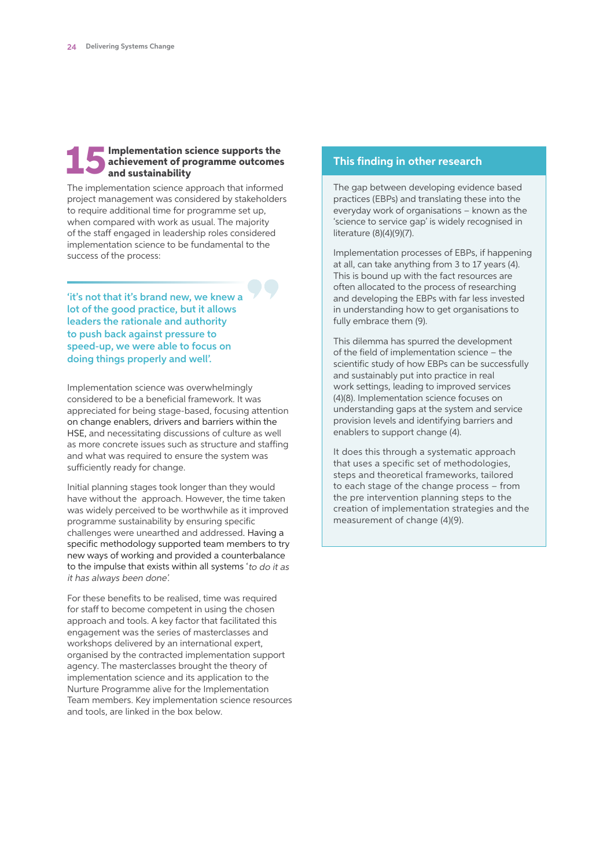#### <span id="page-25-0"></span>I Implementation science supports the achievement of programme outcomes and sustainability

The implementation science approach that informed project management was considered by stakeholders to require additional time for programme set up, when compared with work as usual. The majority of the staff engaged in leadership roles considered implementation science to be fundamental to the success of the process:

'it's not that it's brand new, we knew a lot of the good practice, but it allows leaders the rationale and authority to push back against pressure to speed-up, we were able to focus on doing things properly and well'.

Implementation science was overwhelmingly considered to be a beneficial framework. It was appreciated for being stage-based, focusing attention on change enablers, drivers and barriers within the HSE, and necessitating discussions of culture as well as more concrete issues such as structure and staffing and what was required to ensure the system was sufficiently ready for change.

Initial planning stages took longer than they would have without the approach. However, the time taken was widely perceived to be worthwhile as it improved programme sustainability by ensuring specific challenges were unearthed and addressed. Having a specific methodology supported team members to try new ways of working and provided a counterbalance to the impulse that exists within all systems 'to do it as it has always been done'.

For these benefits to be realised, time was required for staff to become competent in using the chosen approach and tools. A key factor that facilitated this engagement was the series of masterclasses and workshops delivered by an international expert, organised by the contracted implementation support agency. The masterclasses brought the theory of implementation science and its application to the Nurture Programme alive for the Implementation Team members. Key implementation science resources and tools, are linked in the box below.

#### **This finding in other research**

The gap between developing evidence based practices (EBPs) and translating these into the everyday work of organisations – known as the 'science to service gap' is widely recognised in literature (8)(4)(9)(7).

Implementation processes of EBPs, if happening at all, can take anything from 3 to 17 years (4). This is bound up with the fact resources are often allocated to the process of researching and developing the EBPs with far less invested in understanding how to get organisations to fully embrace them (9).

This dilemma has spurred the development of the field of implementation science – the scientific study of how EBPs can be successfully and sustainably put into practice in real work settings, leading to improved services (4)(8). Implementation science focuses on understanding gaps at the system and service provision levels and identifying barriers and enablers to support change (4).

It does this through a systematic approach that uses a specific set of methodologies, steps and theoretical frameworks, tailored to each stage of the change process – from the pre intervention planning steps to the creation of implementation strategies and the measurement of change (4)(9).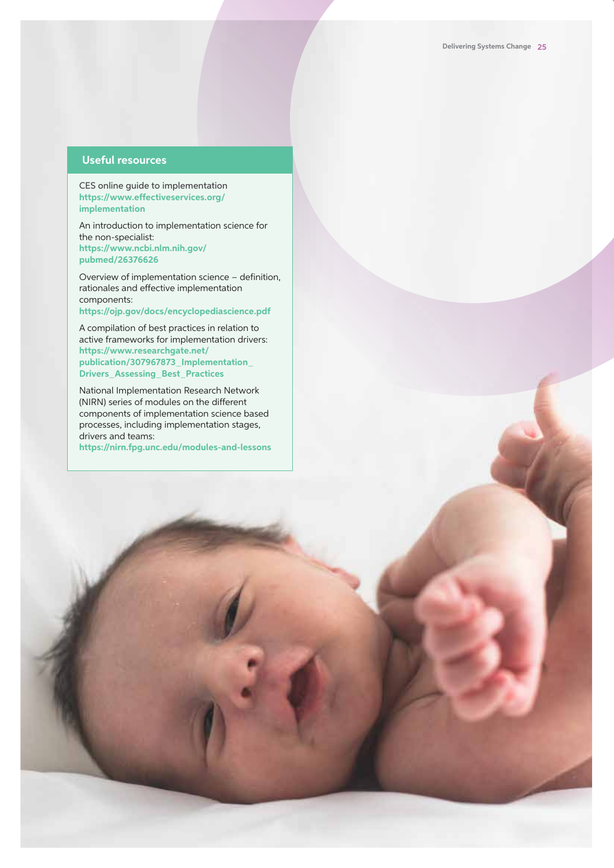#### **Useful resources**

CES online guide to implementation **[https://www.effectiveservices.org/](https://www.effectiveservices.org/implementation) [implementation](https://www.effectiveservices.org/implementation)** 

An introduction to implementation science for the non-specialist: **[https://www.ncbi.nlm.nih.gov/](https://www.ncbi.nlm.nih.gov/pubmed/26376626) [pubmed/26376626](https://www.ncbi.nlm.nih.gov/pubmed/26376626)**

Overview of implementation science – definition, rationales and effective implementation components:

**<https://ojp.gov/docs/encyclopediascience.pdf>**

A compilation of best practices in relation to active frameworks for implementation drivers: **[https://www.researchgate.net/](https://www.researchgate.net/publication/307967873_Implementation_Drivers_Assessing_Best_Practices) [publication/307967873\\_Implementation](https://www.researchgate.net/publication/307967873_Implementation_Drivers_Assessing_Best_Practices) \_ [Drivers\\_Assessing\\_Best\\_Practices](https://www.researchgate.net/publication/307967873_Implementation_Drivers_Assessing_Best_Practices)**

National Implementation Research Network (NIRN) series of modules on the different components of implementation science based processes, including implementation stages, drivers and teams: **<https://nirn.fpg.unc.edu/modules-and-lessons>**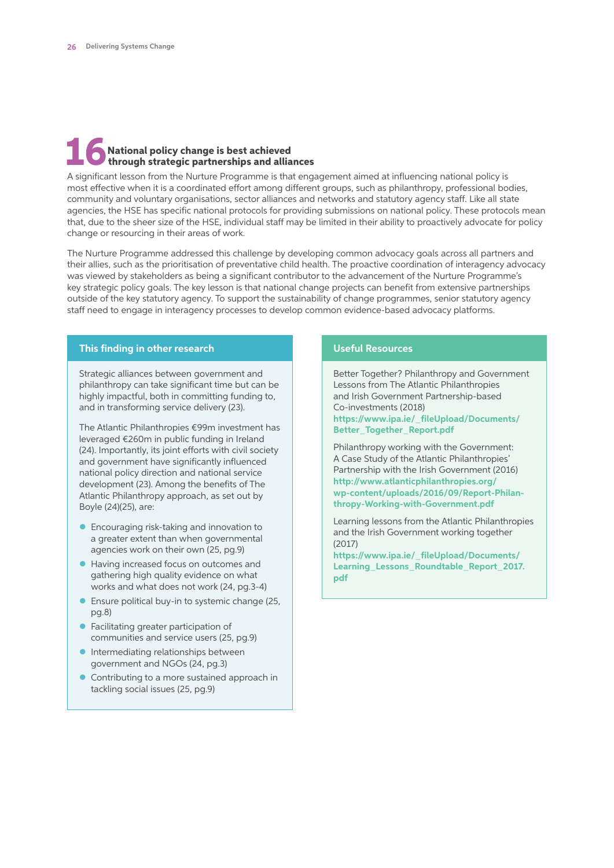# <span id="page-27-0"></span>National policy change is best achieved through strategic partnerships and alliances

A significant lesson from the Nurture Programme is that engagement aimed at influencing national policy is most effective when it is a coordinated effort among different groups, such as philanthropy, professional bodies, community and voluntary organisations, sector alliances and networks and statutory agency staff. Like all state agencies, the HSE has specific national protocols for providing submissions on national policy. These protocols mean that, due to the sheer size of the HSE, individual staff may be limited in their ability to proactively advocate for policy change or resourcing in their areas of work.

The Nurture Programme addressed this challenge by developing common advocacy goals across all partners and their allies, such as the prioritisation of preventative child health. The proactive coordination of interagency advocacy was viewed by stakeholders as being a significant contributor to the advancement of the Nurture Programme's key strategic policy goals. The key lesson is that national change projects can benefit from extensive partnerships outside of the key statutory agency. To support the sustainability of change programmes, senior statutory agency staff need to engage in interagency processes to develop common evidence-based advocacy platforms.

#### **This finding in other research**

Strategic alliances between government and philanthropy can take significant time but can be highly impactful, both in committing funding to, and in transforming service delivery (23).

The Atlantic Philanthropies €99m investment has leveraged €260m in public funding in Ireland (24). Importantly, its joint efforts with civil society and government have significantly influenced national policy direction and national service development (23). Among the benefits of The Atlantic Philanthropy approach, as set out by Boyle (24)(25), are:

- **•** Encouraging risk-taking and innovation to a greater extent than when governmental agencies work on their own (25, pg.9)
- **In Having increased focus on outcomes and** gathering high quality evidence on what works and what does not work (24, pg.3-4)
- Ensure political buy-in to systemic change (25, pg.8)
- Facilitating greater participation of communities and service users (25, pg.9)
- **Intermediating relationships between** government and NGOs (24, pg.3)
- Contributing to a more sustained approach in tackling social issues (25, pg.9)

#### **Useful Resources**

Better Together? Philanthropy and Government Lessons from The Atlantic Philanthropies and Irish Government Partnership-based Co-investments (2018)

**[https://www.ipa.ie/\\_fileUpload/Documents/](https://www.ipa.ie/_fileUpload/Documents/Better_Together_Report.pdf) [Better\\_Together\\_Report.pdf](https://www.ipa.ie/_fileUpload/Documents/Better_Together_Report.pdf)**

Philanthropy working with the Government: A Case Study of the Atlantic Philanthropies' Partnership with the Irish Government (2016) **http://www.atlanticphilanthropies.org/ wp-content/uploads/2016/09/Report-Philanthropy-Working-with-Government.pdf** 

Learning lessons from the Atlantic Philanthropies and the Irish Government working together (2017)

**[https://www.ipa.ie/\\_fileUpload/Documents/](https://www.ipa.ie/_fileUpload/Documents/Learning_Lessons_Roundtable_Report_2017.pdf) [Learning\\_Lessons\\_Roundtable\\_Report\\_2017.](https://www.ipa.ie/_fileUpload/Documents/Learning_Lessons_Roundtable_Report_2017.pdf) [pdf](https://www.ipa.ie/_fileUpload/Documents/Learning_Lessons_Roundtable_Report_2017.pdf)**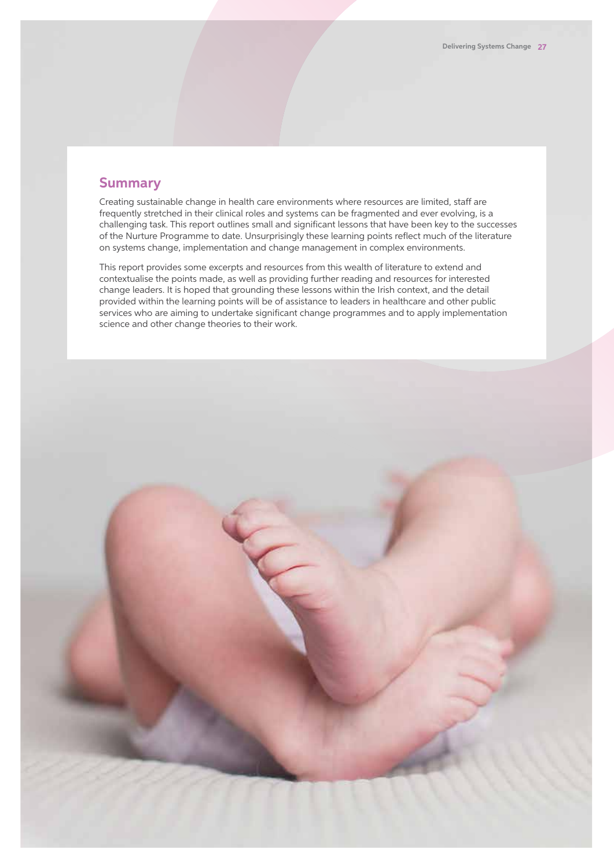#### **Summary**

Creating sustainable change in health care environments where resources are limited, staff are frequently stretched in their clinical roles and systems can be fragmented and ever evolving, is a challenging task. This report outlines small and significant lessons that have been key to the successes of the Nurture Programme to date. Unsurprisingly these learning points reflect much of the literature on systems change, implementation and change management in complex environments.

This report provides some excerpts and resources from this wealth of literature to extend and contextualise the points made, as well as providing further reading and resources for interested change leaders. It is hoped that grounding these lessons within the Irish context, and the detail provided within the learning points will be of assistance to leaders in healthcare and other public services who are aiming to undertake significant change programmes and to apply implementation science and other change theories to their work.

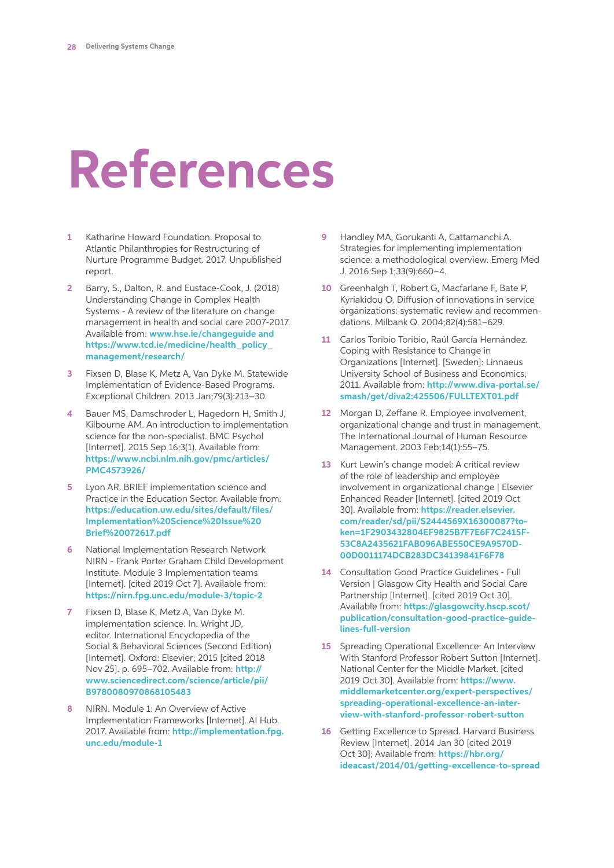# **References**

- **1** Katharine Howard Foundation. Proposal to Atlantic Philanthropies for Restructuring of Nurture Programme Budget. 2017. Unpublished report.
- **2** Barry, S., Dalton, R. and Eustace-Cook, J. (2018) Understanding Change in Complex Health Systems - A review of the literature on change management in health and social care 2007-2017. Available from: **[www.hse.ie/changeguide and](http://www.hse.ie/changeguide and https://www.tcd.ie/medicine/health_policy_management/research/)  [https://www.tcd.ie/medicine/health\\_policy\\_](http://www.hse.ie/changeguide and https://www.tcd.ie/medicine/health_policy_management/research/) [management/research/](http://www.hse.ie/changeguide and https://www.tcd.ie/medicine/health_policy_management/research/)**
- **3** Fixsen D, Blase K, Metz A, Van Dyke M. Statewide Implementation of Evidence-Based Programs. Exceptional Children. 2013 Jan;79(3):213–30.
- **4** Bauer MS, Damschroder L, Hagedorn H, Smith J, Kilbourne AM. An introduction to implementation science for the non-specialist. BMC Psychol [Internet]. 2015 Sep 16;3(1). Available from: **[https://www.ncbi.nlm.nih.gov/pmc/articles/](https://www.ncbi.nlm.nih.gov/pmc/articles/PMC4573926/) [PMC4573926/](https://www.ncbi.nlm.nih.gov/pmc/articles/PMC4573926/)**
- **5** Lyon AR. BRIEF implementation science and Practice in the Education Sector. Available from: **[https://education.uw.edu/sites/default/files/](https://education.uw.edu/sites/default/files/Implementation%20Science%20Issue%20Brief%20072617.pdf) [Implementation%20Science%20Issue%20](https://education.uw.edu/sites/default/files/Implementation%20Science%20Issue%20Brief%20072617.pdf) [Brief%20072617.pdf](https://education.uw.edu/sites/default/files/Implementation%20Science%20Issue%20Brief%20072617.pdf)**
- **6** National Implementation Research Network NIRN - Frank Porter Graham Child Development Institute. Module 3 Implementation teams [Internet]. [cited 2019 Oct 7]. Available from: **<https://nirn.fpg.unc.edu/module-3/topic-2>**
- **7** Fixsen D, Blase K, Metz A, Van Dyke M. implementation science. In: Wright JD, editor. International Encyclopedia of the Social & Behavioral Sciences (Second Edition) [Internet]. Oxford: Elsevier; 2015 [cited 2018 Nov 25]. p. 695–702. Available from: **[http://](http://www.sciencedirect.com/science/article/pii/B9780080970868105483) [www.sciencedirect.com/science/article/pii/](http://www.sciencedirect.com/science/article/pii/B9780080970868105483) [B9780080970868105483](http://www.sciencedirect.com/science/article/pii/B9780080970868105483)**
- **8** NIRN. Module 1: An Overview of Active Implementation Frameworks [Internet]. AI Hub. 2017. Available from: **[http://implementation.fpg.](http://implementation.fpg.unc.edu/module-1) [unc.edu/module-1](http://implementation.fpg.unc.edu/module-1)**
- **9** Handley MA, Gorukanti A, Cattamanchi A. Strategies for implementing implementation science: a methodological overview. Emerg Med J. 2016 Sep 1;33(9):660–4.
- **10** Greenhalgh T, Robert G, Macfarlane F, Bate P, Kyriakidou O. Diffusion of innovations in service organizations: systematic review and recommendations. Milbank Q. 2004;82(4):581–629.
- **11** Carlos Toribio Toribio, Raúl García Hernández. Coping with Resistance to Change in Organizations [Internet]. [Sweden]: Linnaeus University School of Business and Economics; 2011. Available from: **[http://www.diva-portal.se/](http://www.diva-portal.se/smash/get/diva2:425506/FULLTEXT01.pdf) [smash/get/diva2:425506/FULLTEXT01.pdf](http://www.diva-portal.se/smash/get/diva2:425506/FULLTEXT01.pdf)**
- **12** Morgan D, Zeffane R. Employee involvement, organizational change and trust in management. The International Journal of Human Resource Management. 2003 Feb;14(1):55–75.
- **13** Kurt Lewin's change model: A critical review of the role of leadership and employee involvement in organizational change | Elsevier Enhanced Reader [Internet]. [cited 2019 Oct 30]. Available from: **[https://reader.elsevier.](https://reader.elsevier.com/reader/sd/pii/S2444569X16300087?token=1F2903432804EF9825B7F7E6F7C2415F53C8A2435621FAB096ABE550CE9A9570D00D0011174DCB283DC34139841F6F78) [com/reader/sd/pii/S2444569X16300087?to](https://reader.elsevier.com/reader/sd/pii/S2444569X16300087?token=1F2903432804EF9825B7F7E6F7C2415F53C8A2435621FAB096ABE550CE9A9570D00D0011174DCB283DC34139841F6F78)[ken=1F2903432804EF9825B7F7E6F7C2415F-](https://reader.elsevier.com/reader/sd/pii/S2444569X16300087?token=1F2903432804EF9825B7F7E6F7C2415F53C8A2435621FAB096ABE550CE9A9570D00D0011174DCB283DC34139841F6F78)[53C8A2435621FAB096ABE550CE9A9570D-](https://reader.elsevier.com/reader/sd/pii/S2444569X16300087?token=1F2903432804EF9825B7F7E6F7C2415F53C8A2435621FAB096ABE550CE9A9570D00D0011174DCB283DC34139841F6F78)[00D0011174DCB283DC34139841F6F78](https://reader.elsevier.com/reader/sd/pii/S2444569X16300087?token=1F2903432804EF9825B7F7E6F7C2415F53C8A2435621FAB096ABE550CE9A9570D00D0011174DCB283DC34139841F6F78)**
- **14** Consultation Good Practice Guidelines Full Version | Glasgow City Health and Social Care Partnership [Internet]. [cited 2019 Oct 30]. Available from: **[https://glasgowcity.hscp.scot/](https://glasgowcity.hscp.scot/publication/consultation-good-practice-guidelines-full-version) [publication/consultation-good-practice-guide](https://glasgowcity.hscp.scot/publication/consultation-good-practice-guidelines-full-version)[lines-full-version](https://glasgowcity.hscp.scot/publication/consultation-good-practice-guidelines-full-version)**
- **15** Spreading Operational Excellence: An Interview With Stanford Professor Robert Sutton [Internet]. National Center for the Middle Market. [cited 2019 Oct 30]. Available from: **[https://www.](https://www.middlemarketcenter.org/expert-perspectives/spreading-operational-excellence-an-interview-with-stanford-professor-robert-sutton) [middlemarketcenter.org/expert-perspectives/](https://www.middlemarketcenter.org/expert-perspectives/spreading-operational-excellence-an-interview-with-stanford-professor-robert-sutton) [spreading-operational-excellence-an-inter](https://www.middlemarketcenter.org/expert-perspectives/spreading-operational-excellence-an-interview-with-stanford-professor-robert-sutton)[view-with-stanford-professor-robert-sutton](https://www.middlemarketcenter.org/expert-perspectives/spreading-operational-excellence-an-interview-with-stanford-professor-robert-sutton)**
- **16** Getting Excellence to Spread. Harvard Business Review [Internet]. 2014 Jan 30 [cited 2019 Oct 30]; Available from: **[https://hbr.org/](https://hbr.org/ideacast/2014/01/getting-excellence-to-spread) [ideacast/2014/01/getting-excellence-to-spread](https://hbr.org/ideacast/2014/01/getting-excellence-to-spread)**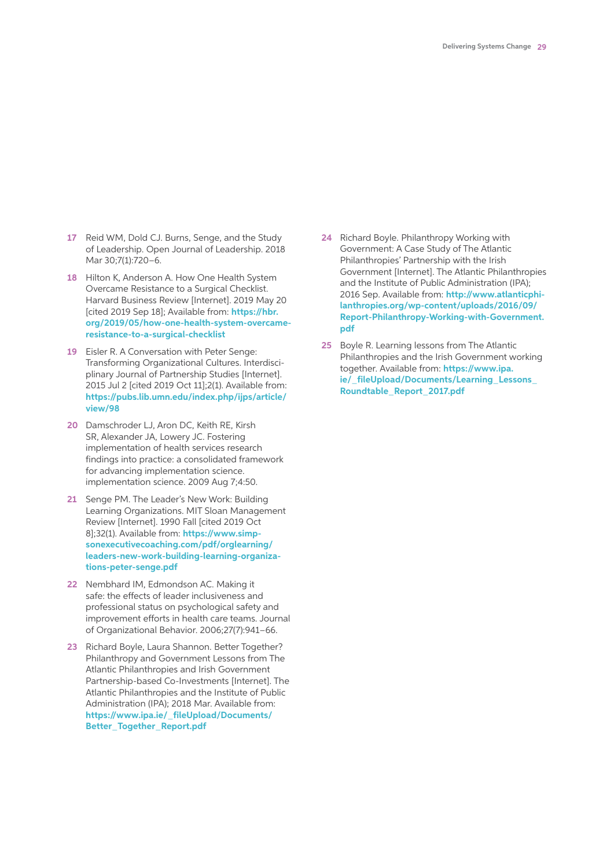- **17** Reid WM, Dold CJ. Burns, Senge, and the Study of Leadership. Open Journal of Leadership. 2018 Mar 30;7(1):720–6.
- **18** Hilton K, Anderson A. How One Health System Overcame Resistance to a Surgical Checklist. Harvard Business Review [Internet]. 2019 May 20 [cited 2019 Sep 18]; Available from: **[https://hbr.](https://hbr.org/2019/05/how-one-health-system-overcame-resistance-to-a-surgical-checklist) [org/2019/05/how-one-health-system-overcame](https://hbr.org/2019/05/how-one-health-system-overcame-resistance-to-a-surgical-checklist)[resistance-to-a-surgical-checklist](https://hbr.org/2019/05/how-one-health-system-overcame-resistance-to-a-surgical-checklist)**
- **19** Eisler R. A Conversation with Peter Senge: Transforming Organizational Cultures. Interdisciplinary Journal of Partnership Studies [Internet]. 2015 Jul 2 [cited 2019 Oct 11];2(1). Available from: **[https://pubs.lib.umn.edu/index.php/ijps/article/](https://pubs.lib.umn.edu/index.php/ijps/article/view/98) [view/98](https://pubs.lib.umn.edu/index.php/ijps/article/view/98)**
- **20** Damschroder LJ, Aron DC, Keith RE, Kirsh SR, Alexander JA, Lowery JC. Fostering implementation of health services research findings into practice: a consolidated framework for advancing implementation science. implementation science. 2009 Aug 7;4:50.
- **21** Senge PM. The Leader's New Work: Building Learning Organizations. MIT Sloan Management Review [Internet]. 1990 Fall [cited 2019 Oct 8];32(1). Available from: **[https://www.simp](https://www.simpsonexecutivecoaching.com/pdf/orglearning/leaders-new-work-building-learning-organizations-peter-senge.pdf)[sonexecutivecoaching.com/pdf/orglearning/](https://www.simpsonexecutivecoaching.com/pdf/orglearning/leaders-new-work-building-learning-organizations-peter-senge.pdf) [leaders-new-work-building-learning-organiza](https://www.simpsonexecutivecoaching.com/pdf/orglearning/leaders-new-work-building-learning-organizations-peter-senge.pdf)[tions-peter-senge.pdf](https://www.simpsonexecutivecoaching.com/pdf/orglearning/leaders-new-work-building-learning-organizations-peter-senge.pdf)**
- **22** Nembhard IM, Edmondson AC. Making it safe: the effects of leader inclusiveness and professional status on psychological safety and improvement efforts in health care teams. Journal of Organizational Behavior. 2006;27(7):941–66.
- **23** Richard Boyle, Laura Shannon. Better Together? Philanthropy and Government Lessons from The Atlantic Philanthropies and Irish Government Partnership-based Co-Investments [Internet]. The Atlantic Philanthropies and the Institute of Public Administration (IPA); 2018 Mar. Available from: **[https://www.ipa.ie/\\_fileUpload/Documents/](https://www.ipa.ie/_fileUpload/Documents/Better_Together_Report.pdf) [Better\\_Together\\_Report.pdf](https://www.ipa.ie/_fileUpload/Documents/Better_Together_Report.pdf)**
- **24** Richard Boyle. Philanthropy Working with Government: A Case Study of The Atlantic Philanthropies' Partnership with the Irish Government [Internet]. The Atlantic Philanthropies and the Institute of Public Administration (IPA); 2016 Sep. Available from: **[http://www.atlanticphi](http://www.atlanticphilanthropies.org/wp-content/uploads/2016/09/Report-Philanthropy-Working-with-Government.pdf)[lanthropies.org/wp-content/uploads/2016/09/](http://www.atlanticphilanthropies.org/wp-content/uploads/2016/09/Report-Philanthropy-Working-with-Government.pdf) [Report-Philanthropy-Working-with-Government.](http://www.atlanticphilanthropies.org/wp-content/uploads/2016/09/Report-Philanthropy-Working-with-Government.pdf) [pdf](http://www.atlanticphilanthropies.org/wp-content/uploads/2016/09/Report-Philanthropy-Working-with-Government.pdf)**
- **25** Boyle R. Learning lessons from The Atlantic Philanthropies and the Irish Government working together. Available from: **[https://www.ipa.](Available from: https://www.ipa.ie/_fileUpload/Documents/Learning_Lessons_Roundtable_Report_2017.pdf) [ie/\\_fileUpload/Documents/Learning\\_Lessons\\_](Available from: https://www.ipa.ie/_fileUpload/Documents/Learning_Lessons_Roundtable_Report_2017.pdf) [Roundtable\\_Report\\_2017.pdf](Available from: https://www.ipa.ie/_fileUpload/Documents/Learning_Lessons_Roundtable_Report_2017.pdf)**